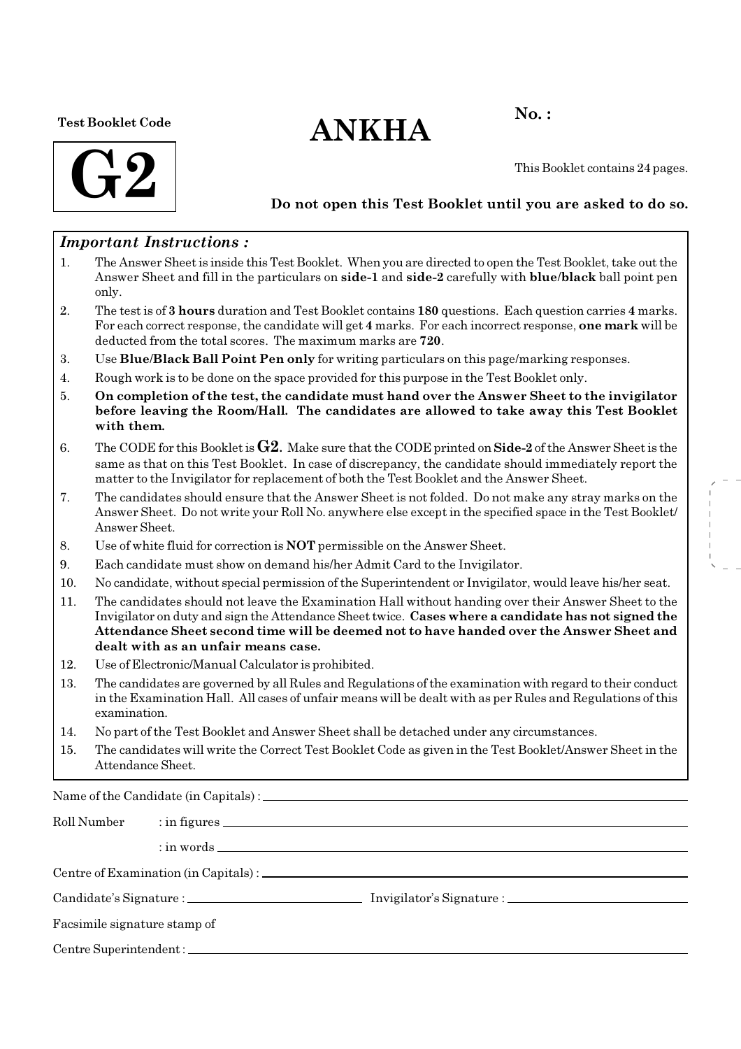#### Test Booklet Code

# $ANKHA$ <sup>No.:</sup>



This Booklet contains 24 pages.

### Do not open this Test Booklet until you are asked to do so.

### Important Instructions :

- 1. The Answer Sheet is inside this Test Booklet. When you are directed to open the Test Booklet, take out the Answer Sheet and fill in the particulars on side-1 and side-2 carefully with blue/black ball point pen only.
- 2. The test is of 3 hours duration and Test Booklet contains 180 questions. Each question carries 4 marks. For each correct response, the candidate will get 4 marks. For each incorrect response, one mark will be deducted from the total scores. The maximum marks are 720.
- 3. Use Blue/Black Ball Point Pen only for writing particulars on this page/marking responses.
- 4. Rough work is to be done on the space provided for this purpose in the Test Booklet only.
- 5. On completion of the test, the candidate must hand over the Answer Sheet to the invigilator before leaving the Room/Hall. The candidates are allowed to take away this Test Booklet with them.
- 6. The CODE for this Booklet is  $G2$ . Make sure that the CODE printed on Side-2 of the Answer Sheet is the same as that on this Test Booklet. In case of discrepancy, the candidate should immediately report the matter to the Invigilator for replacement of both the Test Booklet and the Answer Sheet.
- 7. The candidates should ensure that the Answer Sheet is not folded. Do not make any stray marks on the Answer Sheet. Do not write your Roll No. anywhere else except in the specified space in the Test Booklet/ Answer Sheet.
- 8. Use of white fluid for correction is NOT permissible on the Answer Sheet.
- 9. Each candidate must show on demand his/her Admit Card to the Invigilator.
- 10. No candidate, without special permission of the Superintendent or Invigilator, would leave his/her seat.
- 11. The candidates should not leave the Examination Hall without handing over their Answer Sheet to the Invigilator on duty and sign the Attendance Sheet twice. Cases where a candidate has not signed the Attendance Sheet second time will be deemed not to have handed over the Answer Sheet and dealt with as an unfair means case.
- 12. Use of Electronic/Manual Calculator is prohibited.
- 13. The candidates are governed by all Rules and Regulations of the examination with regard to their conduct in the Examination Hall. All cases of unfair means will be dealt with as per Rules and Regulations of this examination.
- 14. No part of the Test Booklet and Answer Sheet shall be detached under any circumstances.
- 15. The candidates will write the Correct Test Booklet Code as given in the Test Booklet/Answer Sheet in the Attendance Sheet.

Name of the Candidate (in Capitals) :

| Roll Number                  |  |  |
|------------------------------|--|--|
|                              |  |  |
|                              |  |  |
|                              |  |  |
| Facsimile signature stamp of |  |  |
|                              |  |  |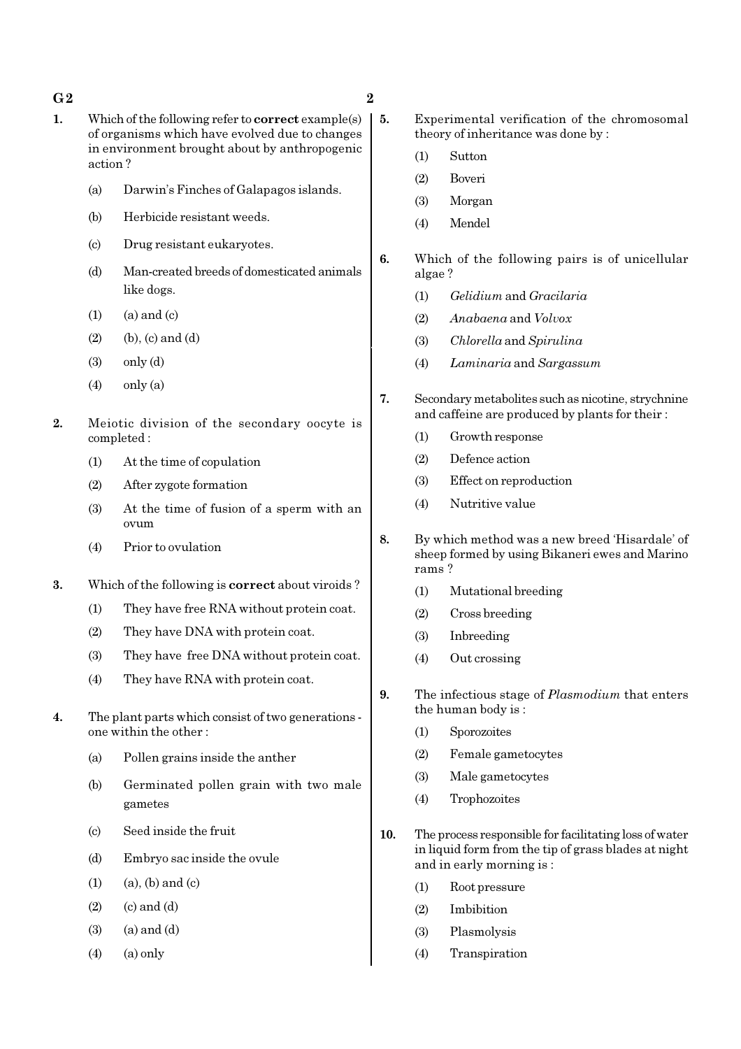#### $G2$  and  $2$

- 1. Which of the following refer to **correct** example(s) of organisms which have evolved due to changes in environment brought about by anthropogenic action ?
	- (a) Darwin's Finches of Galapagos islands.
	- (b) Herbicide resistant weeds.
	- (c) Drug resistant eukaryotes.
	- (d) Man-created breeds of domesticated animals like dogs.
	- $(1)$   $(a)$  and  $(c)$
	- $(2)$  (b),  $(c)$  and  $(d)$
	- $(3)$  only  $(d)$
	- $(4)$  only  $(a)$
- 2. Meiotic division of the secondary oocyte is completed :
	- (1) At the time of copulation
	- (2) After zygote formation
	- (3) At the time of fusion of a sperm with an ovum
	- (4) Prior to ovulation
- 3. Which of the following is correct about viroids ?
	- (1) They have free RNA without protein coat.
	- (2) They have DNA with protein coat.
	- (3) They have free DNA without protein coat.
	- (4) They have RNA with protein coat.
- 4. The plant parts which consist of two generations one within the other :
	- (a) Pollen grains inside the anther
	- (b) Germinated pollen grain with two male gametes
	- (c) Seed inside the fruit
	- (d) Embryo sac inside the ovule
	- $(1)$   $(a)$ ,  $(b)$  and  $(c)$
	- $(2)$   $(c)$  and  $(d)$
	- $(3)$   $(a)$  and  $(d)$
	- $(4)$   $(a)$  only
- 
- 5. Experimental verification of the chromosomal theory of inheritance was done by :
	- (1) Sutton
	- (2) Boveri
	- (3) Morgan
	- (4) Mendel
	- 6. Which of the following pairs is of unicellular algae ?
		- (1) Gelidium and Gracilaria
		- (2) Anabaena and Volvox
		- (3) Chlorella and Spirulina
		- (4) Laminaria and Sargassum
	- 7. Secondary metabolites such as nicotine, strychnine and caffeine are produced by plants for their :
		- (1) Growth response
		- (2) Defence action
		- (3) Effect on reproduction
		- (4) Nutritive value
	- 8. By which method was a new breed 'Hisardale' of sheep formed by using Bikaneri ewes and Marino rams ?
		- (1) Mutational breeding
		- (2) Cross breeding
		- (3) Inbreeding
		- (4) Out crossing
	- 9. The infectious stage of *Plasmodium* that enters the human body is :
		- (1) Sporozoites
		- (2) Female gametocytes
		- (3) Male gametocytes
		- (4) Trophozoites
	- 10. The process responsible for facilitating loss of water in liquid form from the tip of grass blades at night and in early morning is :
		- (1) Root pressure
		- (2) Imbibition
		- (3) Plasmolysis
		- (4) Transpiration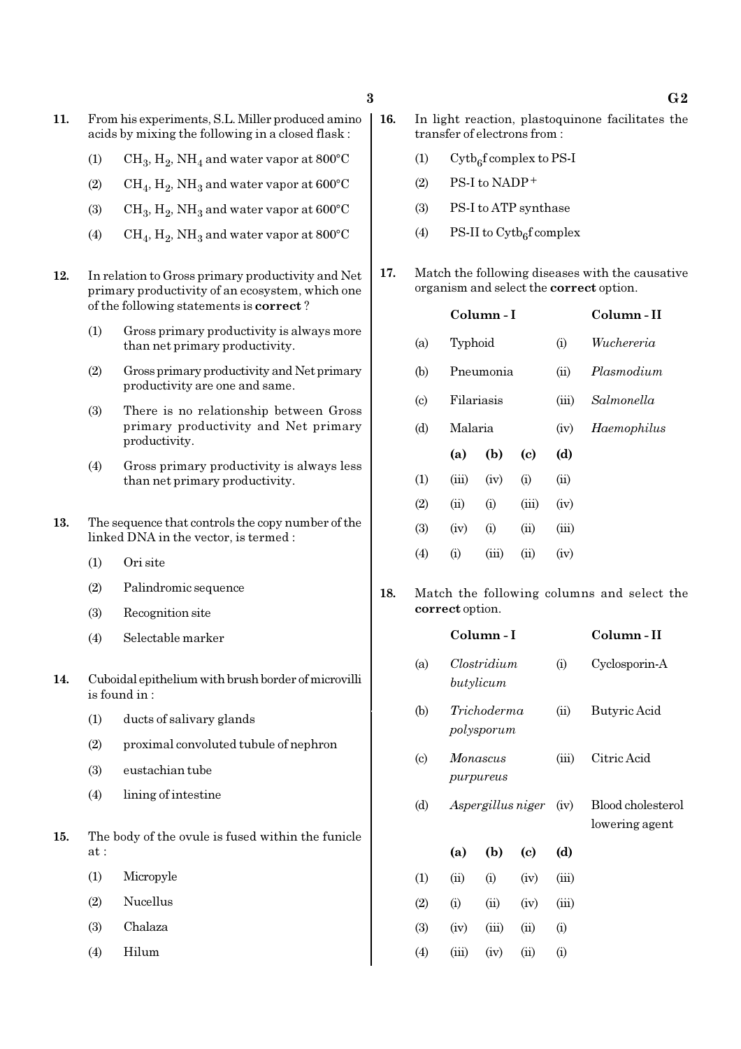- 11. From his experiments, S.L. Miller produced amino acids by mixing the following in a closed flask :
	- (1)  $\mathrm{CH}_3, \mathrm{H}_2, \mathrm{NH}_4$  and water vapor at 800°C
	- (2)  $\mathrm{CH}_4, \mathrm{H}_2, \mathrm{NH}_3$  and water vapor at 600°C
	- (3)  $\text{CH}_3, \text{H}_2, \text{NH}_3$  and water vapor at 600°C
	- (4)  $\rm CH_4, H_2, NH_3$  and water vapor at 800°C
- 12. In relation to Gross primary productivity and Net primary productivity of an ecosystem, which one of the following statements is correct ?
	- (1) Gross primary productivity is always more than net primary productivity.
	- (2) Gross primary productivity and Net primary productivity are one and same.
	- (3) There is no relationship between Gross primary productivity and Net primary productivity.
	- (4) Gross primary productivity is always less than net primary productivity.
- 13. The sequence that controls the copy number of the linked DNA in the vector, is termed :
	- (1) Ori site
	- (2) Palindromic sequence
	- (3) Recognition site
	- (4) Selectable marker
- 14. Cuboidal epithelium with brush border of microvilli is found in :
	- (1) ducts of salivary glands
	- (2) proximal convoluted tubule of nephron
	- (3) eustachian tube
	- (4) lining of intestine
- 15. The body of the ovule is fused within the funicle at :
	- (1) Micropyle
	- (2) Nucellus
	- (3) Chalaza
	- (4) Hilum
- 16. In light reaction, plastoquinone facilitates the transfer of electrons from :
	- (1) Cytb<sub>6</sub>f complex to PS-I
	- $(2)$  PS-I to NADP<sup>+</sup>
	- (3) PS-I to ATP synthase
	- (4) PS-II to  $\text{Cytb}_6\text{f}$  complex
- 17. Match the following diseases with the causative organism and select the correct option.

|                             |            | Column - I | Column - II |       |             |
|-----------------------------|------------|------------|-------------|-------|-------------|
| (a)                         | Typhoid    |            |             | (i)   | Wuchereria  |
| (b)                         | Pneumonia  |            |             | (ii)  | Plasmodium  |
| $\left( \mathrm{c} \right)$ | Filariasis |            |             | (iii) | Salmonella  |
| (d)                         | Malaria    |            |             | (iv)  | Haemophilus |
|                             | (a)        | (b)        | (c)         | (d)   |             |
| (1)                         | (iii)      | (iv)       | (i)         | (ii)  |             |
| (2)                         | (ii)       | (i)        | (iii)       | (iv)  |             |
| (3)                         | (iv)       | (i)        | (ii)        | (iii) |             |
| (4)                         | (i)        | (iii)      | (ii)        | (iv)  |             |

18. Match the following columns and select the correct option.

|                             |       | Column - I                |                            |                    | Column - II                         |
|-----------------------------|-------|---------------------------|----------------------------|--------------------|-------------------------------------|
| (a)                         |       | Clostridium<br>butylicum  |                            |                    | Cyclosporin-A                       |
| (b)                         |       | Trichoderma<br>polysporum |                            |                    | Butyric Acid                        |
| $\left( \mathrm{c} \right)$ |       | Monascus<br>purpureus     |                            |                    | Citric Acid                         |
| (d)                         |       | Aspergillus niger         |                            | (iv)               | Blood cholesterol<br>lowering agent |
|                             | (a)   | (b)                       | $\left( \mathrm{c}\right)$ | (d)                |                                     |
| (1)                         | (ii)  | (i)                       | (iv)                       | (iii)              |                                     |
| (2)                         | (i)   | (ii)                      | (iv)                       | (iii)              |                                     |
| (3)                         | (iv)  | (iii)                     | (ii)                       | (i)                |                                     |
| $\left( 4\right)$           | (iii) | (iv)                      | (ii)                       | $\rm \textbf{(i)}$ |                                     |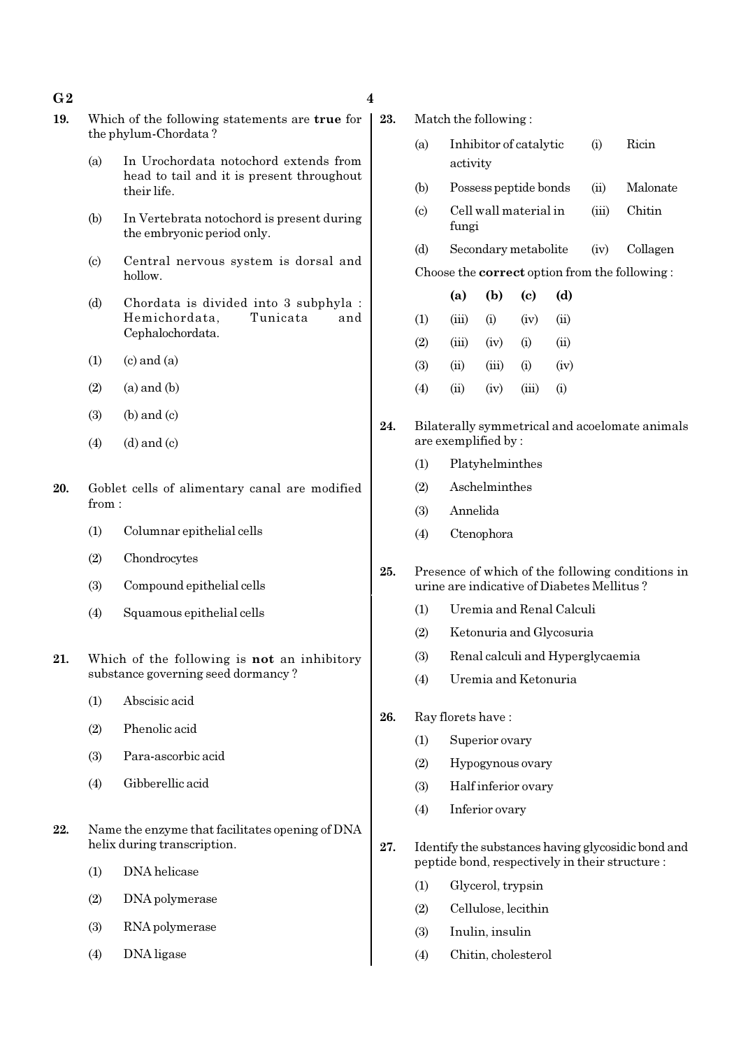| 19. |                           | Which of the following statements are <b>true</b> for                   | 23. |                           | Match the fo        |
|-----|---------------------------|-------------------------------------------------------------------------|-----|---------------------------|---------------------|
|     | (a)                       | the phylum-Chordata?<br>In Urochordata notochord extends from           |     | (a)                       | Inhibi<br>activit   |
|     |                           | head to tail and it is present throughout<br>their life.                |     | (b)                       | Posses              |
|     | (b)                       | In Vertebrata notochord is present during<br>the embryonic period only. |     | $\left( \text{c} \right)$ | Cell w<br>fungi     |
|     |                           | Central nervous system is dorsal and                                    |     | (d)                       | Secon               |
|     | $\left( \text{c} \right)$ | hollow.                                                                 |     |                           | Choose the <b>c</b> |
|     | (d)                       | Chordata is divided into 3 subphyla :                                   |     |                           | (a)                 |
|     |                           | Tunicata<br>Hemichordata,<br>and                                        |     | (1)                       | (iii)               |
|     |                           | Cephalochordata.                                                        |     | (2)                       | (iii)               |
|     | (1)                       | $(c)$ and $(a)$                                                         |     | (3)                       | (ii)                |
|     | (2)                       | $(a)$ and $(b)$                                                         |     | (4)                       | (ii)                |
|     | (3)                       | $(b)$ and $(c)$                                                         |     |                           |                     |

- $(4)$   $(d)$  and  $(c)$
- 20. Goblet cells of alimentary canal are modified from :
	- (1) Columnar epithelial cells
	- (2) Chondrocytes
	- (3) Compound epithelial cells
	- (4) Squamous epithelial cells
- 21. Which of the following is not an inhibitory substance governing seed dormancy ?
	- (1) Abscisic acid
	- (2) Phenolic acid
	- (3) Para-ascorbic acid
	- (4) Gibberellic acid
- 22. Name the enzyme that facilitates opening of DNA helix during transcription.
	- (1) DNA helicase
	- (2) DNA polymerase
	- (3) RNA polymerase
	- (4) DNA ligase
- bllowing :
	- (i) Intervalue (i) Ricin  $t_{\rm V}$
	- ss peptide bonds (ii) Malonate
	- (iii) Chitin
	- dary metabolite (iv) Collagen

#### $\text{correct option from the following :}$

|     | (a)    | (b)      | (c)      | (d)      |
|-----|--------|----------|----------|----------|
| (1) | (iii)  | $\rm(i)$ | (iv)     | (ii)     |
| (2) | (iii)  | (iv)     | $\rm(i)$ | (ii)     |
| (3) | (ii)   | (iii)    | $\rm(i)$ | (iv)     |
| (4) | $\sin$ | (iv)     | (iii)    | $\rm(i)$ |

- 24. Bilaterally symmetrical and acoelomate animals are exemplified by :
	- (1) Platyhelminthes
	- (2) Aschelminthes
	- (3) Annelida
	- (4) Ctenophora
- 25. Presence of which of the following conditions in urine are indicative of Diabetes Mellitus ?
	- (1) Uremia and Renal Calculi
	- (2) Ketonuria and Glycosuria
	- (3) Renal calculi and Hyperglycaemia
	- (4) Uremia and Ketonuria
- 26. Ray florets have :
	- (1) Superior ovary
	- (2) Hypogynous ovary
	- (3) Half inferior ovary
	- (4) Inferior ovary
- 27. Identify the substances having glycosidic bond and peptide bond, respectively in their structure :
	- (1) Glycerol, trypsin
	- (2) Cellulose, lecithin
	- (3) Inulin, insulin
	- (4) Chitin, cholesterol

#### $G2 \hspace{1.5cm} 4$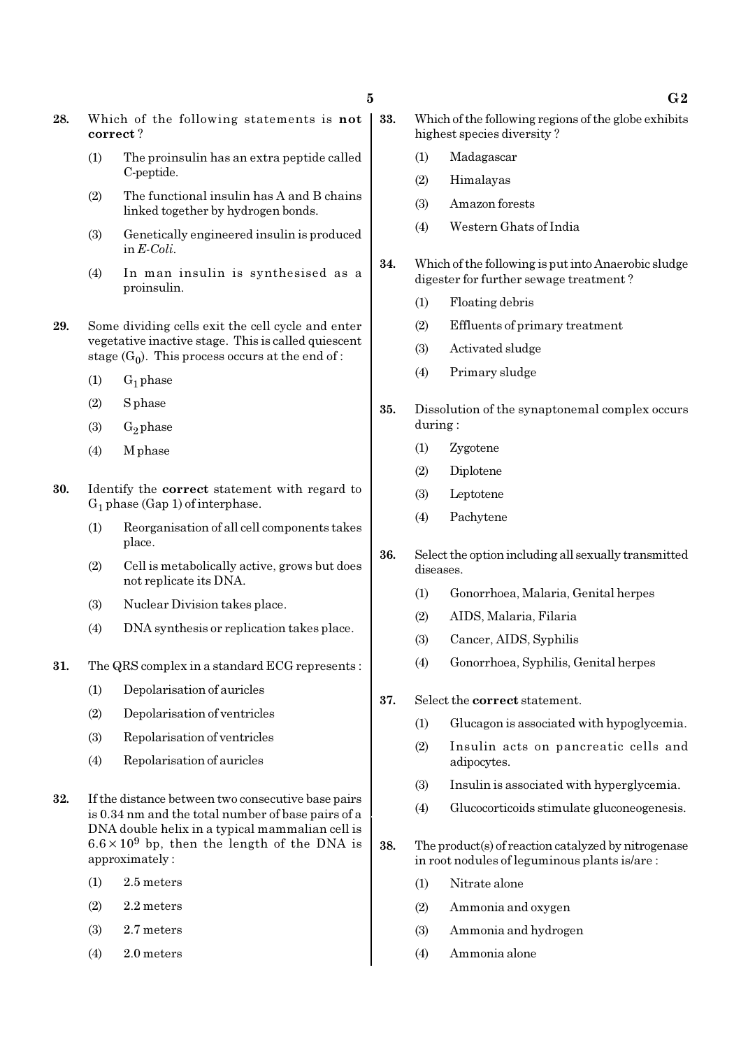- 28. Which of the following statements is not correct ?
	- (1) The proinsulin has an extra peptide called C-peptide.
	- (2) The functional insulin has A and B chains linked together by hydrogen bonds.
	- (3) Genetically engineered insulin is produced in E-Coli.
	- (4) In man insulin is synthesised as a proinsulin.
- 29. Some dividing cells exit the cell cycle and enter vegetative inactive stage. This is called quiescent stage  $(G_0)$ . This process occurs at the end of :
	- $(1)$  G<sub>1</sub> phase
	- (2) S phase
	- (3)  $G_2$  phase
	- (4) M phase
- 30. Identify the correct statement with regard to  $G_1$  phase (Gap 1) of interphase.
	- (1) Reorganisation of all cell components takes place.
	- (2) Cell is metabolically active, grows but does not replicate its DNA.
	- (3) Nuclear Division takes place.
	- (4) DNA synthesis or replication takes place.
- 31. The QRS complex in a standard ECG represents :
	- (1) Depolarisation of auricles
	- (2) Depolarisation of ventricles
	- (3) Repolarisation of ventricles
	- (4) Repolarisation of auricles
- 32. If the distance between two consecutive base pairs is 0.34 nm and the total number of base pairs of a DNA double helix in a typical mammalian cell is  $6.6 \times 10^9$  bp, then the length of the DNA is approximately :
	- (1) 2.5 meters
	- $(2)$  2.2 meters
	- (3) 2.7 meters
	- (4) 2.0 meters
- 33. Which of the following regions of the globe exhibits highest species diversity ?
	- (1) Madagascar
	- (2) Himalayas
	- (3) Amazon forests
	- (4) Western Ghats of India
- 34. Which of the following is put into Anaerobic sludge digester for further sewage treatment ?
	- (1) Floating debris
	- (2) Effluents of primary treatment
	- (3) Activated sludge
	- (4) Primary sludge
- 35. Dissolution of the synaptonemal complex occurs during :
	- (1) Zygotene
	- (2) Diplotene
	- (3) Leptotene
	- (4) Pachytene
- 36. Select the option including all sexually transmitted diseases.
	- (1) Gonorrhoea, Malaria, Genital herpes
	- (2) AIDS, Malaria, Filaria
	- (3) Cancer, AIDS, Syphilis
	- (4) Gonorrhoea, Syphilis, Genital herpes
- 37. Select the correct statement.
	- (1) Glucagon is associated with hypoglycemia.
	- (2) Insulin acts on pancreatic cells and adipocytes.
	- (3) Insulin is associated with hyperglycemia.
	- (4) Glucocorticoids stimulate gluconeogenesis.
- 38. The product(s) of reaction catalyzed by nitrogenase in root nodules of leguminous plants is/are :
	- (1) Nitrate alone
	- (2) Ammonia and oxygen
	- (3) Ammonia and hydrogen
	- (4) Ammonia alone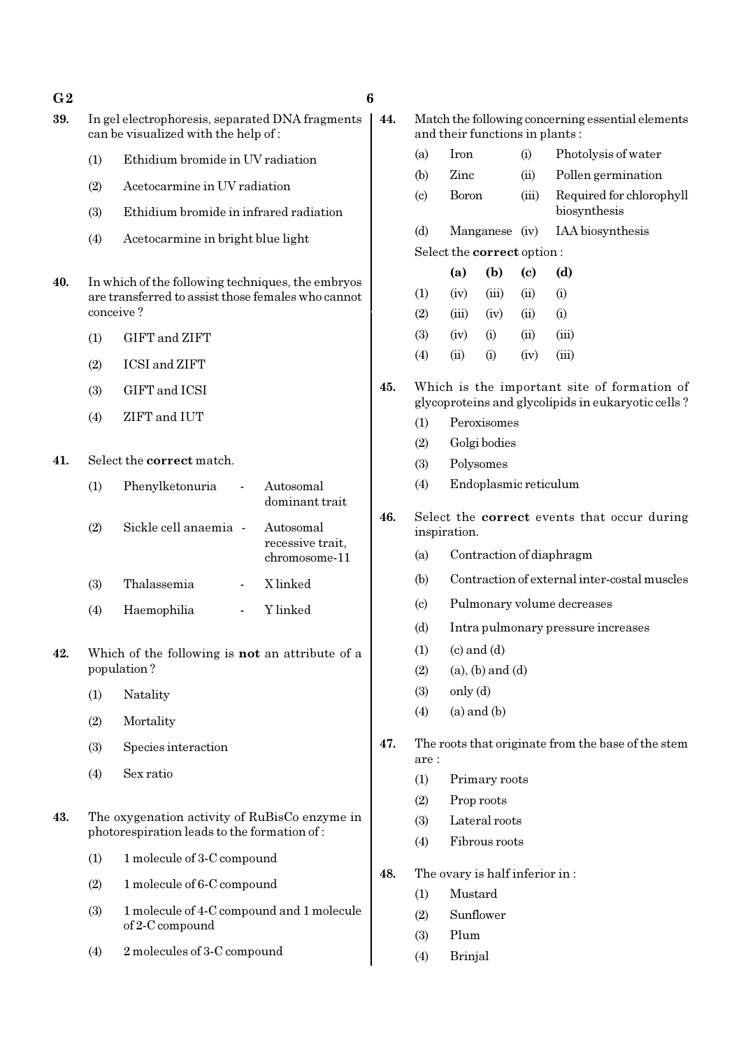$G2$  6

- 39. In gel electrophoresis, separated DNA fragments can be visualized with the help of :
	- (1) Ethidium bromide in UV radiation
	- (2) Acetocarmine in UV radiation
	- (3) Ethidium bromide in infrared radiation
	- (4) Acetocarmine in bright blue light
- 40. In which of the following techniques, the embryos are transferred to assist those females who cannot conceive ?
	- (1) GIFT and ZIFT
	- (2) ICSI and ZIFT
	- (3) GIFT and ICSI
	- (4) ZIFT and IUT
- 41. Select the correct match.

| (1) | Phenylketonuria       | Autosomal<br>dominant trait                    |
|-----|-----------------------|------------------------------------------------|
| (2) | Sickle cell anaemia - | Autosomal<br>recessive trait,<br>chromosome-11 |
| (3) | Thalassemia           | X linked                                       |
| (4) | Haemophilia           | Y linked                                       |

- 42. Which of the following is not an attribute of a population ?
	- (1) Natality
	- (2) Mortality
	- (3) Species interaction
	- (4) Sex ratio
- 43. The oxygenation activity of RuBisCo enzyme in photorespiration leads to the formation of :
	- (1) 1 molecule of 3-C compound
	- (2) 1 molecule of 6-C compound
	- (3) 1 molecule of 4-C compound and 1 molecule of 2-C compound
	- (4) 2 molecules of 3-C compound
- - 44. Match the following concerning essential elements and their functions in plants :
		- (a) Iron (i) Photolysis of water (b) Zinc (ii) Pollen germination (c) Boron (iii) Required for chlorophyll biosynthesis (d) Manganese (iv) IAA biosynthesis

Select the correct option :

|                   | (a)                   | (b)       | (c)  | (d)      |
|-------------------|-----------------------|-----------|------|----------|
| (1)               | (iv)                  | (iii)     | (ii) | $\rm(i)$ |
| (2)               | (iii)                 | (iv)      | (ii) | (i)      |
| (3)               | (iv)                  | (i)       | (ii) | (iii)    |
| $\left( 4\right)$ | $\dot{\textbf{(ii)}}$ | $\rm (i)$ | (iv) | (iii)    |

- 45. Which is the important site of formation of glycoproteins and glycolipids in eukaryotic cells ?
	- (1) Peroxisomes
	- (2) Golgi bodies
	- (3) Polysomes
	- (4) Endoplasmic reticulum
- 46. Select the correct events that occur during inspiration.
	- (a) Contraction of diaphragm
	- (b) Contraction of external inter-costal muscles
	- (c) Pulmonary volume decreases
	- (d) Intra pulmonary pressure increases
	- $(1)$   $(c)$  and  $(d)$
	- $(2)$  (a), (b) and (d)
	- (3) only (d)
	- $(4)$  (a) and  $(b)$
- 47. The roots that originate from the base of the stem are :
	- (1) Primary roots
	- (2) Prop roots
	- (3) Lateral roots
	- (4) Fibrous roots
- 48. The ovary is half inferior in :
	- (1) Mustard
	- (2) Sunflower
	- (3) Plum
	- (4) Brinjal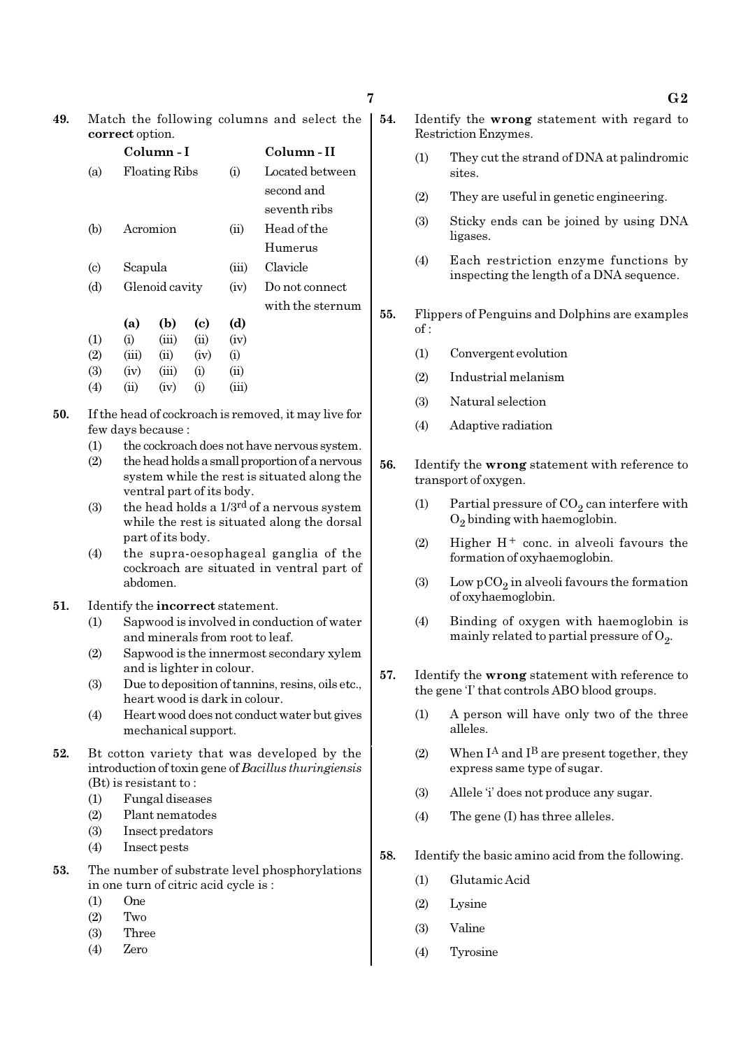49. Match the following columns and select the correct option.

|                             |       | Column - I           |                    |            | Column - II      |
|-----------------------------|-------|----------------------|--------------------|------------|------------------|
| (a)                         |       | <b>Floating Ribs</b> |                    | (i)        | Located between  |
|                             |       |                      |                    |            | second and       |
|                             |       |                      |                    |            | seventh ribs     |
| (b)                         |       | Acromion             |                    | (ii)       | Head of the      |
|                             |       |                      |                    |            | Humerus          |
| $\left( \mathrm{c} \right)$ |       | Scapula              |                    |            | Clavicle         |
| (d)                         |       | Glenoid cavity       |                    |            | Do not connect   |
|                             |       |                      |                    |            | with the sternum |
|                             | (a)   | (b)                  | (c)                | (d)        |                  |
| (1)                         | (i)   | (iii)                | (ii)               | (iv)       |                  |
| (2)                         | (iii) | (ii)                 | (iv)               | (i)        |                  |
| (3)                         | (iv)  | (iii)                | (i)                | $\rm (ii)$ |                  |
| $\left( 4\right)$           | (ii)  | (iv)                 | $\rm \textbf{(i)}$ | (iii)      |                  |
|                             |       |                      |                    |            |                  |

- 50. If the head of cockroach is removed, it may live for few days because :
	- (1) the cockroach does not have nervous system.
	- (2) the head holds a small proportion of a nervous system while the rest is situated along the ventral part of its body.
	- (3) the head holds a  $1/3^{rd}$  of a nervous system while the rest is situated along the dorsal part of its body.
	- (4) the supra-oesophageal ganglia of the cockroach are situated in ventral part of abdomen.
- 51. Identify the incorrect statement.
	- (1) Sapwood is involved in conduction of water and minerals from root to leaf.
	- (2) Sapwood is the innermost secondary xylem and is lighter in colour.
	- (3) Due to deposition of tannins, resins, oils etc., heart wood is dark in colour.
	- (4) Heart wood does not conduct water but gives mechanical support.
- 52. Bt cotton variety that was developed by the introduction of toxin gene of Bacillus thuringiensis (Bt) is resistant to :
	- (1) Fungal diseases
	- (2) Plant nematodes
	- (3) Insect predators
	- (4) Insect pests
- 53. The number of substrate level phosphorylations in one turn of citric acid cycle is :
	- (1) One
	- (2) Two
	- (3) Three
	- (4) Zero
- 54. Identify the wrong statement with regard to Restriction Enzymes.
	- (1) They cut the strand of DNA at palindromic sites.
	- (2) They are useful in genetic engineering.
	- (3) Sticky ends can be joined by using DNA ligases.
	- (4) Each restriction enzyme functions by inspecting the length of a DNA sequence.
- 55. Flippers of Penguins and Dolphins are examples  $of:$ 
	- (1) Convergent evolution
	- (2) Industrial melanism
	- (3) Natural selection
	- (4) Adaptive radiation
- 56. Identify the wrong statement with reference to transport of oxygen.
	- (1) Partial pressure of  $CO_2$  can interfere with  $O_2$  binding with haemoglobin.
	- (2) Higher  $H^+$  conc. in alveoli favours the formation of oxyhaemoglobin.
	- (3) Low  $pCO_2$  in alveoli favours the formation of oxyhaemoglobin.
	- (4) Binding of oxygen with haemoglobin is mainly related to partial pressure of  $\mathrm{O}_2$ .
- 57. Identify the wrong statement with reference to the gene 'I' that controls ABO blood groups.
	- (1) A person will have only two of the three alleles.
	- (2) When  $I^A$  and  $I^B$  are present together, they express same type of sugar.
	- (3) Allele 'i' does not produce any sugar.
	- (4) The gene (I) has three alleles.
- 58. Identify the basic amino acid from the following.
	- (1) Glutamic Acid
	- (2) Lysine
	- (3) Valine
	- (4) Tyrosine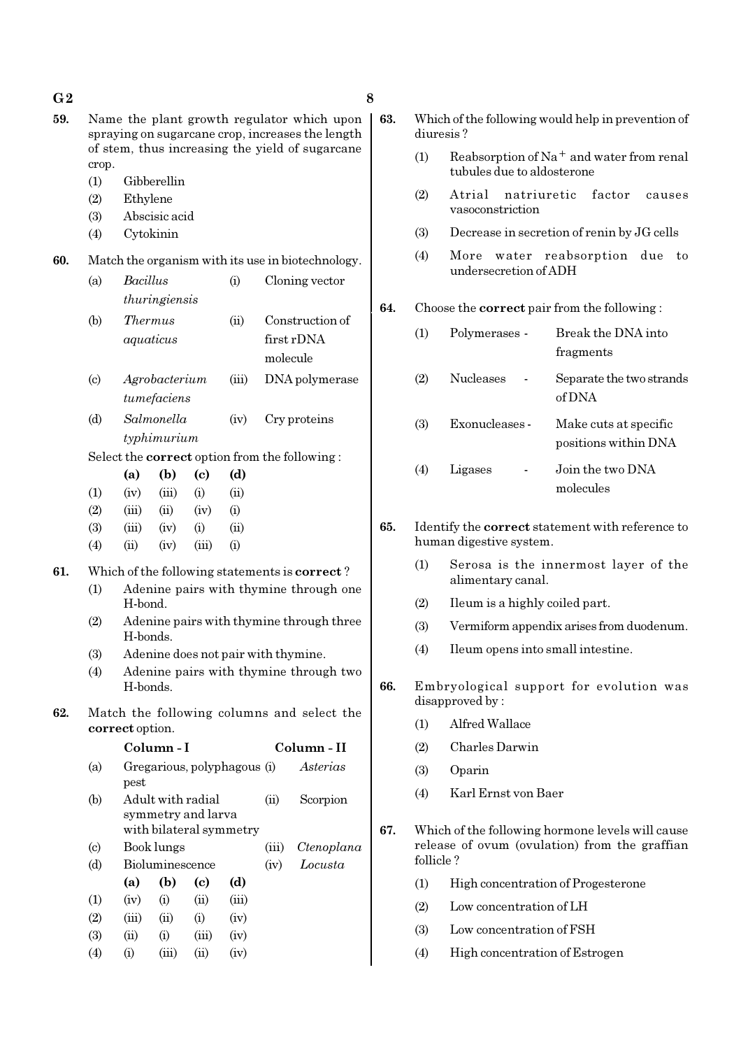| $\bf{G2}$ |                                                                                                                                                            |                                                                     |                   |                            |                                     |          |                                                       | 8 |  |
|-----------|------------------------------------------------------------------------------------------------------------------------------------------------------------|---------------------------------------------------------------------|-------------------|----------------------------|-------------------------------------|----------|-------------------------------------------------------|---|--|
| 59.       | Name the plant growth regulator which upon<br>spraying on sugarcane crop, increases the length<br>of stem, thus increasing the yield of sugarcane<br>crop. |                                                                     |                   |                            |                                     |          |                                                       |   |  |
|           | (1)                                                                                                                                                        |                                                                     | Gibberellin       |                            |                                     |          |                                                       |   |  |
|           | (2)                                                                                                                                                        | Ethylene                                                            |                   |                            |                                     |          |                                                       |   |  |
|           | (3)                                                                                                                                                        |                                                                     | Abscisic acid     |                            |                                     |          |                                                       |   |  |
|           | (4)                                                                                                                                                        | Cytokinin                                                           |                   |                            |                                     |          |                                                       |   |  |
|           |                                                                                                                                                            |                                                                     |                   |                            |                                     |          |                                                       |   |  |
| 60.       |                                                                                                                                                            |                                                                     |                   |                            |                                     |          | Match the organism with its use in biotechnology.     |   |  |
|           | (a)                                                                                                                                                        | <b>Bacillus</b>                                                     |                   |                            | (i)                                 |          | Cloning vector                                        |   |  |
|           |                                                                                                                                                            |                                                                     | thuringiensis     |                            |                                     |          |                                                       |   |  |
|           | (b)                                                                                                                                                        | <i>Thermus</i>                                                      |                   |                            | (ii)                                |          | Construction of                                       |   |  |
|           |                                                                                                                                                            | aquaticus                                                           |                   |                            |                                     | molecule | first rDNA                                            |   |  |
|           | $\left( \mathrm{c}\right)$                                                                                                                                 |                                                                     | Agrobacterium     |                            | (iii)                               |          | DNA polymerase                                        |   |  |
|           |                                                                                                                                                            |                                                                     | tumefaciens       |                            |                                     |          |                                                       |   |  |
|           | (d)                                                                                                                                                        |                                                                     | Salmonella        |                            | (iv)                                |          | Cry proteins                                          |   |  |
|           |                                                                                                                                                            |                                                                     |                   |                            |                                     |          |                                                       |   |  |
|           |                                                                                                                                                            | typhimurium<br>Select the <b>correct</b> option from the following: |                   |                            |                                     |          |                                                       |   |  |
|           |                                                                                                                                                            | (a)                                                                 | (b)               | $\left( \mathrm{e}\right)$ | (d)                                 |          |                                                       |   |  |
|           | (1)                                                                                                                                                        | (iv)                                                                | (iii)             | (i)                        | (ii)                                |          |                                                       |   |  |
|           | (2)                                                                                                                                                        | (iii)                                                               | (ii)              | (iv)                       | (i)                                 |          |                                                       |   |  |
|           | (3)                                                                                                                                                        | (iii)                                                               | (iv)              | (i)                        | (ii)                                |          |                                                       |   |  |
|           | (4)                                                                                                                                                        | (ii)                                                                | (iv)              | (iii)                      | (i)                                 |          |                                                       |   |  |
|           |                                                                                                                                                            |                                                                     |                   |                            |                                     |          |                                                       |   |  |
| 61.       |                                                                                                                                                            |                                                                     |                   |                            |                                     |          | Which of the following statements is <b>correct</b> ? |   |  |
|           | (1)                                                                                                                                                        | H-bond.                                                             |                   |                            |                                     |          | Adenine pairs with thymine through one                |   |  |
|           | (2)                                                                                                                                                        | Adenine pairs with thymine through three<br>H-bonds.                |                   |                            |                                     |          |                                                       |   |  |
|           | (3)                                                                                                                                                        |                                                                     |                   |                            | Adenine does not pair with thymine. |          |                                                       |   |  |
|           | (4)                                                                                                                                                        | H-bonds.                                                            |                   |                            |                                     |          | Adenine pairs with thymine through two                |   |  |
| 62.       |                                                                                                                                                            | correct option.                                                     |                   |                            |                                     |          | Match the following columns and select the            |   |  |
|           |                                                                                                                                                            |                                                                     | Column - I        |                            |                                     |          | Column - II                                           |   |  |
|           | (a)                                                                                                                                                        | pest                                                                |                   |                            | Gregarious, polyphagous (i)         |          | Asterias                                              |   |  |
|           | (b)                                                                                                                                                        |                                                                     | Adult with radial | symmetry and larva         | with bilateral symmetry             | (ii)     | Scorpion                                              |   |  |
|           | $\left( \circ \right)$                                                                                                                                     |                                                                     | Book lungs        |                            |                                     | (iii)    | Ctenoplana                                            |   |  |
|           | (d)                                                                                                                                                        |                                                                     | Bioluminescence   |                            |                                     | (iv)     | Locusta                                               |   |  |
|           |                                                                                                                                                            | (a)                                                                 | (b)               | (c)                        | (d)                                 |          |                                                       |   |  |
|           | (1)                                                                                                                                                        | (iv)                                                                | (i)               | (ii)                       | (iii)                               |          |                                                       |   |  |
|           | (2)                                                                                                                                                        | (iii)                                                               | (ii)              | (i)                        | (iv)                                |          |                                                       |   |  |
|           | (3)                                                                                                                                                        | (ii)                                                                | (i)               | (iii)                      | (iv)                                |          |                                                       |   |  |
|           | (4)                                                                                                                                                        | (i)                                                                 | (iii)             | (ii)                       | (iv)                                |          |                                                       |   |  |

| 63. | Which of the following would help in prevention of |
|-----|----------------------------------------------------|
|     | diuresis?                                          |

- (1) Reabsorption of Na<sup>+</sup> and water from renal tubules due to aldosterone
- (2) Atrial natriuretic factor causes vasoconstriction
- (3) Decrease in secretion of renin by JG cells
- (4) More water reabsorption due to undersecretion of ADH

#### 64. Choose the correct pair from the following :

| (1) | Polymerases -    | Break the DNA into<br>fragments               |
|-----|------------------|-----------------------------------------------|
| (2) | <b>Nucleases</b> | Separate the two strands<br>of DNA            |
| (3) | Exonucleases -   | Make cuts at specific<br>positions within DNA |
| (4) | Ligases          | Join the two DNA<br>molecules                 |

- 65. Identify the correct statement with reference to human digestive system.
	- (1) Serosa is the innermost layer of the alimentary canal.
	- (2) Ileum is a highly coiled part.
	- (3) Vermiform appendix arises from duodenum.
	- (4) Ileum opens into small intestine.
- 66. Embryological support for evolution was disapproved by :
	- (1) Alfred Wallace
	- (2) Charles Darwin
	- (3) Oparin
	- (4) Karl Ernst von Baer
- 67. Which of the following hormone levels will cause release of ovum (ovulation) from the graffian follicle ?
	- (1) High concentration of Progesterone
	- (2) Low concentration of LH
	- (3) Low concentration of FSH
	- (4) High concentration of Estrogen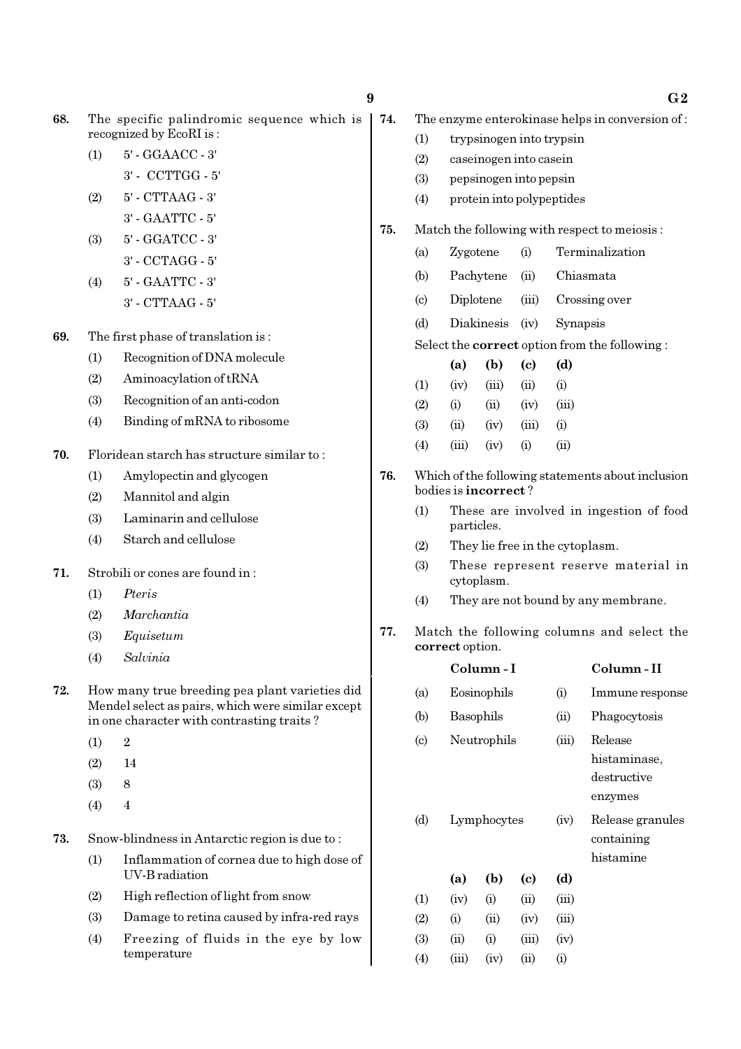| 68. | The specific palindromic sequence which is |  |
|-----|--------------------------------------------|--|
|     | recognized by EcoRI is:                    |  |

- (1) 5' GGAACC 3' 3' - CCTTGG - 5'
- (2) 5' CTTAAG 3'
- 3' GAATTC 5'
- (3) 5' GGATCC 3'
	- 3' CCTAGG 5'
- (4) 5' GAATTC 3' 3' - CTTAAG - 5'

69. The first phase of translation is :

- (1) Recognition of DNA molecule
- (2) Aminoacylation of tRNA
- (3) Recognition of an anti-codon
- (4) Binding of mRNA to ribosome
- 70. Floridean starch has structure similar to :
	- (1) Amylopectin and glycogen
	- (2) Mannitol and algin
	- (3) Laminarin and cellulose
	- (4) Starch and cellulose
- 71. Strobili or cones are found in :
	- (1) Pteris
	- (2) Marchantia
	- (3) Equisetum
	- (4) Salvinia
- 72. How many true breeding pea plant varieties did Mendel select as pairs, which were similar except in one character with contrasting traits ?
	- $(1)$  2
	- (2) 14
	- $(3)$  8
	- $(4)$  4
- 73. Snow-blindness in Antarctic region is due to :
	- (1) Inflammation of cornea due to high dose of UV-B radiation
	- (2) High reflection of light from snow
	- (3) Damage to retina caused by infra-red rays
	- (4) Freezing of fluids in the eye by low temperature

| 9 |     |     |                                                       |                                                 |               | G2                                                   |  |  |  |  |
|---|-----|-----|-------------------------------------------------------|-------------------------------------------------|---------------|------------------------------------------------------|--|--|--|--|
|   |     |     |                                                       |                                                 |               |                                                      |  |  |  |  |
|   | 74. |     |                                                       | The enzyme enterokinase helps in conversion of: |               |                                                      |  |  |  |  |
|   |     | (1) |                                                       | trypsinogen into trypsin                        |               |                                                      |  |  |  |  |
|   |     | (2) |                                                       | caseinogen into casein                          |               |                                                      |  |  |  |  |
|   |     | (3) |                                                       | pepsinogen into pepsin                          |               |                                                      |  |  |  |  |
|   |     | (4) |                                                       |                                                 |               | protein into polypeptides                            |  |  |  |  |
|   | 75. |     |                                                       |                                                 |               | Match the following with respect to meiosis:         |  |  |  |  |
|   |     | (a) | Zygotene                                              |                                                 | (i)           | Terminalization                                      |  |  |  |  |
|   |     | (b) |                                                       | Pachytene                                       |               | (ii) Chiasmata                                       |  |  |  |  |
|   |     | (c) | Diplotene                                             |                                                 |               | (iii) Crossing over                                  |  |  |  |  |
|   |     | (d) |                                                       | Diakinesis                                      | (iv)          | Synapsis                                             |  |  |  |  |
|   |     |     |                                                       |                                                 |               | Select the <b>correct</b> option from the following: |  |  |  |  |
|   |     |     | (a)                                                   | (b)                                             | (c)           | (d)                                                  |  |  |  |  |
|   |     | (1) | (iv)                                                  | (iii)                                           | (ii)          | (i)                                                  |  |  |  |  |
|   |     | (2) | (i)                                                   |                                                 | $(ii)$ $(iv)$ | (iii)                                                |  |  |  |  |
|   |     | (3) |                                                       | $(ii)$ $(iv)$ $(iii)$                           |               | (i)                                                  |  |  |  |  |
|   |     | (4) | (iii)                                                 | (iv)                                            | (i)           | (ii)                                                 |  |  |  |  |
|   | 76. |     | Which of the following statements about inclusion     |                                                 |               |                                                      |  |  |  |  |
|   |     |     |                                                       | bodies is <b>incorrect</b> ?                    |               |                                                      |  |  |  |  |
|   |     | (1) | These are involved in ingestion of food<br>particles. |                                                 |               |                                                      |  |  |  |  |
|   |     | (2) |                                                       |                                                 |               | They lie free in the cytoplasm.                      |  |  |  |  |
|   |     | (3) |                                                       | cytoplasm.                                      |               | These represent reserve material in                  |  |  |  |  |

- (4) They are not bound by any membrane.
- 77. Match the following columns and select the correct option.

|                             |       | Column - I  |            |       | Column - II                                       |
|-----------------------------|-------|-------------|------------|-------|---------------------------------------------------|
| (a)                         |       | Eosinophils |            |       | Immune response                                   |
| (b)                         |       | Basophils   |            |       | Phagocytosis                                      |
| $\left( \mathrm{c} \right)$ |       | Neutrophils |            |       | Release<br>histaminase,<br>destructive<br>enzymes |
| (d)                         |       | Lymphocytes |            |       | Release granules<br>containing<br>histamine       |
|                             | (a)   | (b)         | (c)        | (d)   |                                                   |
| (1)                         | (iv)  | (i)         | (ii)       | (iii) |                                                   |
| (2)                         | (i)   | (ii)        | (iv)       | (iii) |                                                   |
| (3)                         | (ii)  | (i)         | (iii)      | (iv)  |                                                   |
| $\left( 4\right)$           | (iii) | (iv)        | $\rm (ii)$ | (i)   |                                                   |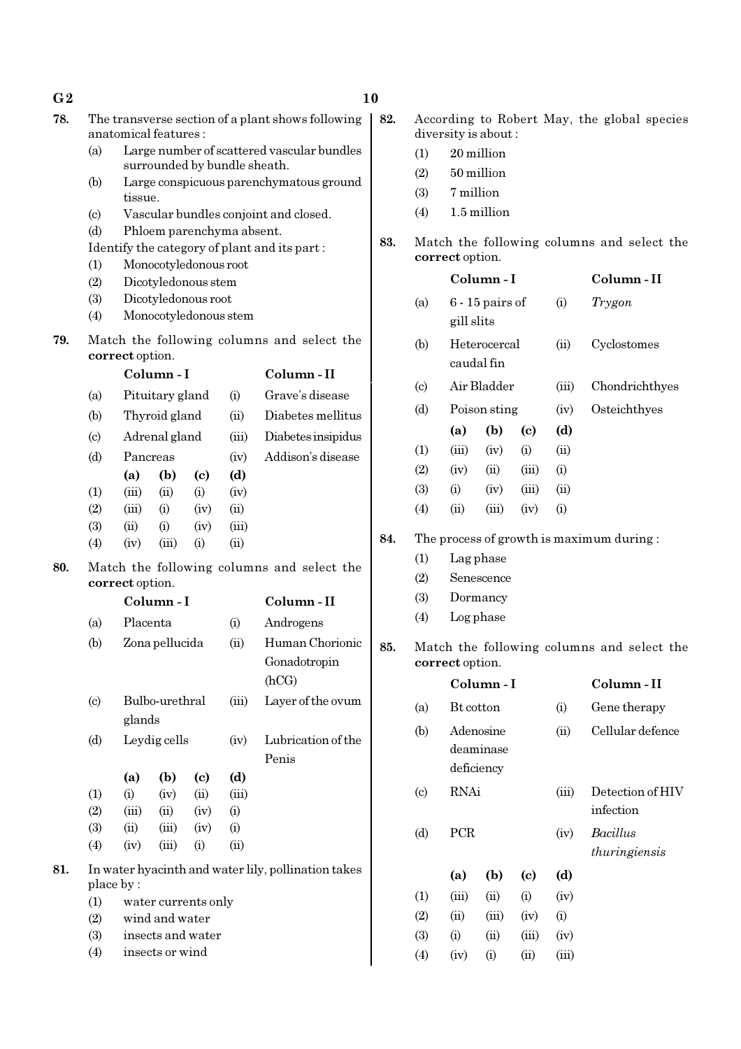| 78. | The transverse section of a plant shows following<br>anatomical features: |                                                                                             |                |                              |                            | 82.                                                 |          | diversity is about:                        |                                    |                   |                            | According to Robert May, the global species |                                            |
|-----|---------------------------------------------------------------------------|---------------------------------------------------------------------------------------------|----------------|------------------------------|----------------------------|-----------------------------------------------------|----------|--------------------------------------------|------------------------------------|-------------------|----------------------------|---------------------------------------------|--------------------------------------------|
|     | (a)                                                                       |                                                                                             |                |                              |                            | Large number of scattered vascular bundles          |          | (1)                                        |                                    | 20 million        |                            |                                             |                                            |
|     |                                                                           |                                                                                             |                | surrounded by bundle sheath. |                            |                                                     |          | (2)                                        |                                    | 50 million        |                            |                                             |                                            |
|     | (b)                                                                       | Large conspicuous parenchymatous ground<br>tissue.<br>Vascular bundles conjoint and closed. |                |                              |                            |                                                     |          | (3)                                        | 7 million                          |                   |                            |                                             |                                            |
|     | $\left( \circ \right)$                                                    |                                                                                             |                |                              |                            |                                                     |          | (4)                                        |                                    | 1.5 million       |                            |                                             |                                            |
|     | (d)                                                                       | Phloem parenchyma absent.                                                                   |                |                              |                            |                                                     |          |                                            |                                    |                   |                            |                                             |                                            |
|     |                                                                           |                                                                                             |                |                              |                            | Identify the category of plant and its part:        | 83.      |                                            |                                    |                   |                            |                                             | Match the following columns and select the |
|     | (1)                                                                       | Monocotyledonous root                                                                       |                |                              |                            |                                                     |          |                                            | correct option.                    |                   |                            |                                             |                                            |
|     | (2)                                                                       | Dicotyledonous stem                                                                         |                |                              |                            |                                                     |          |                                            | Column-I                           |                   |                            | Column-II                                   |                                            |
|     | (3)                                                                       |                                                                                             |                | Dicotyledonous root          |                            |                                                     |          | (a)                                        |                                    | $6 - 15$ pairs of |                            | (i)                                         | Trygon                                     |
|     | (4)                                                                       |                                                                                             |                | Monocotyledonous stem        |                            |                                                     |          |                                            | gill slits                         |                   |                            |                                             |                                            |
| 79. |                                                                           | Match the following columns and select the<br>correct option.                               |                |                              |                            |                                                     | (b)      |                                            | Heterocercal<br>(ii)<br>caudal fin |                   |                            | Cyclostomes                                 |                                            |
|     |                                                                           | Column-I<br>Pituitary gland<br>(a)<br>(i)<br>Thyroid gland<br>(b)<br>(ii)                   |                | Column-II                    |                            |                                                     |          | Air Bladder                                |                                    |                   | Chondrichthyes             |                                             |                                            |
|     |                                                                           |                                                                                             |                | Grave's disease              | $\left( \mathrm{c}\right)$ |                                                     |          |                                            | (iii)                              |                   |                            |                                             |                                            |
|     |                                                                           |                                                                                             |                |                              | Diabetes mellitus          | (d)                                                 |          | Poison sting                               |                                    | (iv)              | Osteichthyes               |                                             |                                            |
|     | $\left( \text{c} \right)$                                                 |                                                                                             | Adrenal gland  |                              | (iii)                      | Diabetes insipidus                                  |          |                                            | (a)                                | (b)               | $\left( \mathrm{c}\right)$ | (d)                                         |                                            |
|     | (d)                                                                       | Pancreas                                                                                    |                |                              | (iv)                       | Addison's disease                                   |          | (1)                                        | (iii)                              | (iv)              | (i)                        | (ii)                                        |                                            |
|     |                                                                           | (a)                                                                                         | (b)            | $\left( \mathbf{c} \right)$  | (d)                        |                                                     |          | (2)                                        | (iv)                               | (ii)              | (iii)                      | (i)                                         |                                            |
|     | (1)                                                                       | (iii)                                                                                       | (ii)           | (i)                          | (iv)                       |                                                     |          | (3)                                        | (i)                                | (iv)              | (iii)                      | (ii)                                        |                                            |
|     | (2)                                                                       | (iii)                                                                                       | (i)            | (iv)                         | (ii)                       |                                                     |          | (4)                                        | (ii)                               | (iii)             | (iv)                       | (i)                                         |                                            |
|     | (3)                                                                       | (ii)                                                                                        | (i)            | (iv)                         | (iii)                      |                                                     |          |                                            |                                    |                   |                            |                                             |                                            |
|     | (4)                                                                       | (iv)                                                                                        | (iii)          | (i)                          | (ii)                       |                                                     | 84.      |                                            |                                    |                   |                            |                                             | The process of growth is maximum during:   |
| 80. | Match the following columns and select the                                |                                                                                             |                |                              |                            |                                                     | (1)      |                                            | Lag phase                          |                   |                            |                                             |                                            |
|     |                                                                           | correct option.                                                                             |                |                              |                            |                                                     | (2)      |                                            | Senescence                         |                   |                            |                                             |                                            |
|     |                                                                           | Column-I                                                                                    |                |                              | Column-II                  |                                                     | (3)      |                                            | Dormancy                           |                   |                            |                                             |                                            |
|     | (a)                                                                       | Placenta                                                                                    |                |                              | (i)                        | Androgens                                           |          | (4)                                        |                                    | Log phase         |                            |                                             |                                            |
|     | (b)                                                                       |                                                                                             | Zona pellucida |                              | (ii)                       | Human Chorionic                                     | 85.      | Match the following columns and select the |                                    |                   |                            |                                             |                                            |
|     |                                                                           |                                                                                             | Gonadotropin   |                              | correct option.            |                                                     |          |                                            |                                    |                   |                            |                                             |                                            |
|     |                                                                           |                                                                                             | (hCG)          |                              |                            |                                                     | Column-I |                                            |                                    | Column-II         |                            |                                             |                                            |
|     | $\left( \mathrm{c}\right)$                                                |                                                                                             | Bulbo-urethral |                              | (iii)                      | Layer of the ovum                                   |          | (a)                                        | Bt cotton                          |                   |                            | (i)                                         | Gene therapy                               |
|     |                                                                           | glands                                                                                      |                |                              |                            |                                                     |          | (b)                                        |                                    | Adenosine         |                            | (ii)                                        | Cellular defence                           |
|     | (d)                                                                       | Leydig cells<br>(iv)                                                                        |                | Lubrication of the           |                            |                                                     |          | deaminase                                  |                                    |                   |                            |                                             |                                            |
|     |                                                                           |                                                                                             |                |                              |                            | Penis                                               |          |                                            |                                    | deficiency        |                            |                                             |                                            |
|     |                                                                           | (a)                                                                                         | (b)            | $\left( \mathbf{c} \right)$  | (d)                        |                                                     |          |                                            |                                    |                   |                            |                                             |                                            |
|     | (1)                                                                       | (i)                                                                                         | (iv)           | (ii)                         | (iii)                      |                                                     |          | $\left( \mathrm{c}\right)$                 | <b>RNAi</b>                        |                   |                            | (iii)                                       | Detection of HIV                           |
|     | (2)                                                                       | (iii)                                                                                       | (ii)           | (iv)                         | (i)                        |                                                     |          |                                            |                                    |                   |                            |                                             | infection                                  |
|     | (3)                                                                       | (ii)                                                                                        | (iii)          | (iv)                         | (i)                        |                                                     |          | (d)                                        | PCR                                |                   |                            | (iv)                                        | <b>Bacillus</b>                            |
|     | (4)                                                                       | (iv)                                                                                        | (iii)          | (i)                          | (ii)                       |                                                     |          |                                            |                                    |                   |                            |                                             | thuringiensis                              |
| 81. |                                                                           |                                                                                             |                |                              |                            | In water hyacinth and water lily, pollination takes |          |                                            | (a)                                | (b)               | (c)                        | (d)                                         |                                            |
|     | (1)                                                                       | place by:                                                                                   |                | water currents only          |                            |                                                     |          | (1)                                        | (iii)                              | (ii)              | (i)                        | (iv)                                        |                                            |
|     | (2)                                                                       |                                                                                             | wind and water |                              |                            |                                                     |          | (2)                                        | (ii)                               | (iii)             | (iv)                       | (i)                                         |                                            |
|     | (3)                                                                       |                                                                                             |                | insects and water            |                            |                                                     |          | (3)                                        | (i)                                | (ii)              | (iii)                      | (iv)                                        |                                            |
|     | (4)                                                                       | insects or wind                                                                             |                |                              |                            | (4)                                                 | (iv)     | (i)                                        | (ii)                               | (iii)             |                            |                                             |                                            |
|     |                                                                           |                                                                                             |                |                              |                            |                                                     |          |                                            |                                    |                   |                            |                                             |                                            |

### $G2$  and  $10$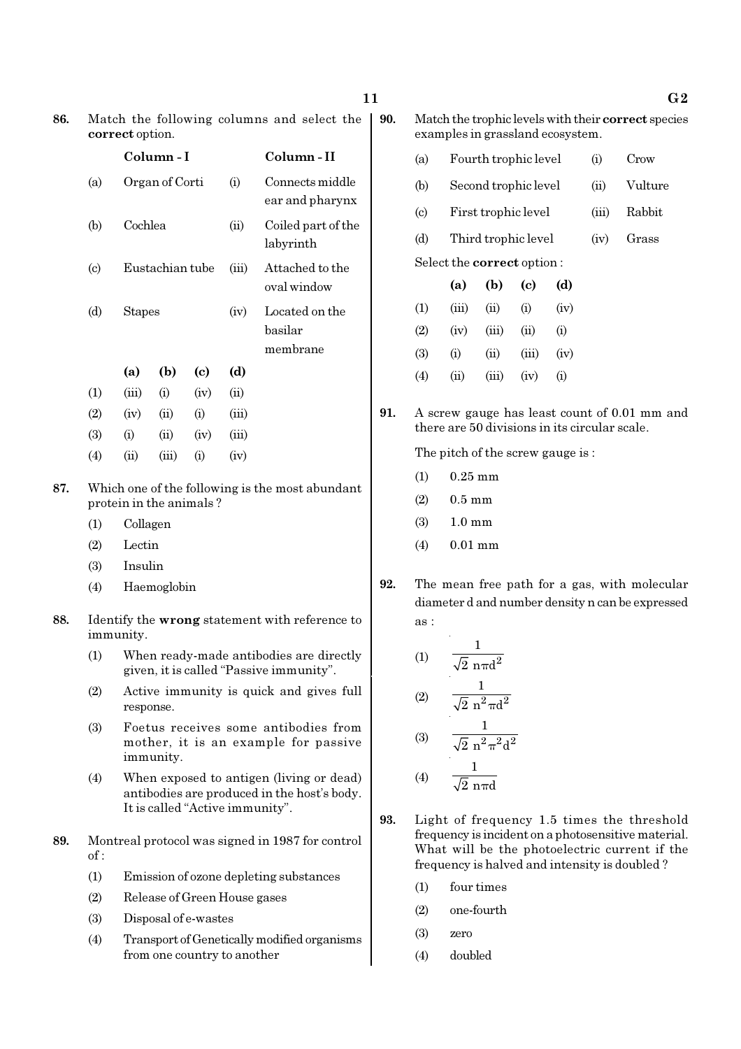| 86. | Match the following columns and select the   90 |  |
|-----|-------------------------------------------------|--|
|     | correct option.                                 |  |

|                           |            | Column - I      |                            |           | Column - II                           |
|---------------------------|------------|-----------------|----------------------------|-----------|---------------------------------------|
| (a)                       |            | Organ of Corti  |                            | $\rm (i)$ | Connects middle<br>ear and pharynx    |
| (b)                       | Cochlea    |                 |                            | (ii)      | Coiled part of the<br>labyrinth       |
| $\left( \text{c} \right)$ |            | Eustachian tube |                            | (iii)     | Attached to the<br>oval window        |
| (d)                       | Stapes     |                 |                            | (iv)      | Located on the<br>basilar<br>membrane |
|                           | (a)        | (b)             | $\left( \mathrm{e}\right)$ | (d)       |                                       |
| $\left(1\right)$          | (iii)      | (i)             | (iv)                       | (ii)      |                                       |
| (2)                       | (iv)       | (ii)            | (i)                        | (iii)     |                                       |
| (3)                       | (i)        | (ii)            | (iv)                       | (iii)     |                                       |
| $\left( 4\right)$         | $\rm (ii)$ | (iii)           | (i)                        | (iv)      |                                       |

87. Which one of the following is the most abundant protein in the animals ?

- (1) Collagen
- (2) Lectin
- (3) Insulin
- (4) Haemoglobin
- 88. Identify the wrong statement with reference to immunity.
	- (1) When ready-made antibodies are directly given, it is called "Passive immunity".
	- (2) Active immunity is quick and gives full response.
	- (3) Foetus receives some antibodies from mother, it is an example for passive immunity.
	- (4) When exposed to antigen (living or dead) antibodies are produced in the host's body. It is called "Active immunity".
- 89. Montreal protocol was signed in 1987 for control  $of:$ 
	- (1) Emission of ozone depleting substances
	- (2) Release of Green House gases
	- (3) Disposal of e-wastes
	- (4) Transport of Genetically modified organisms from one country to another

0. Match the trophic levels with their correct species examples in grassland ecosystem.

- (a) Fourth trophic level (i) Crow
- (b) Second trophic level (ii) Vulture
- (c) First trophic level (iii) Rabbit
- (d) Third trophic level (iv) Grass

Select the correct option :

|     | (a)   | (b)    | (c)   | (d)  |
|-----|-------|--------|-------|------|
| (1) | (iii) | $\sin$ | (i)   | (iv) |
| (2) | (iv)  | (iii)  | (ii)  | (i)  |
| (3) | (i)   | (ii)   | (iii) | (iv) |
| (4) | (ii)  | (iii)  | (iv)  | (i)  |

91. A screw gauge has least count of 0.01 mm and there are 50 divisions in its circular scale.

The pitch of the screw gauge is :

- (1) 0.25 mm
- $(2) 0.5$  mm
- (3) 1.0 mm
- (4) 0.01 mm
- 92. The mean free path for a gas, with molecular diameter d and number density n can be expressed as :

(1) 
$$
\frac{1}{\sqrt{2} \text{ n} \pi d^2}
$$
  
(2) 
$$
\frac{1}{\sqrt{2} \text{ n}^2 \pi d^2}
$$
  
(3) 
$$
\frac{1}{\sqrt{2} \text{ n}^2 \pi^2 d^2}
$$

$$
(4) \qquad \frac{1}{\sqrt{2} \, \text{n} \pi d}
$$

- 93. Light of frequency 1.5 times the threshold frequency is incident on a photosensitive material. What will be the photoelectric current if the frequency is halved and intensity is doubled ?
	- (1) four times
	- (2) one-fourth
	- (3) zero
	- (4) doubled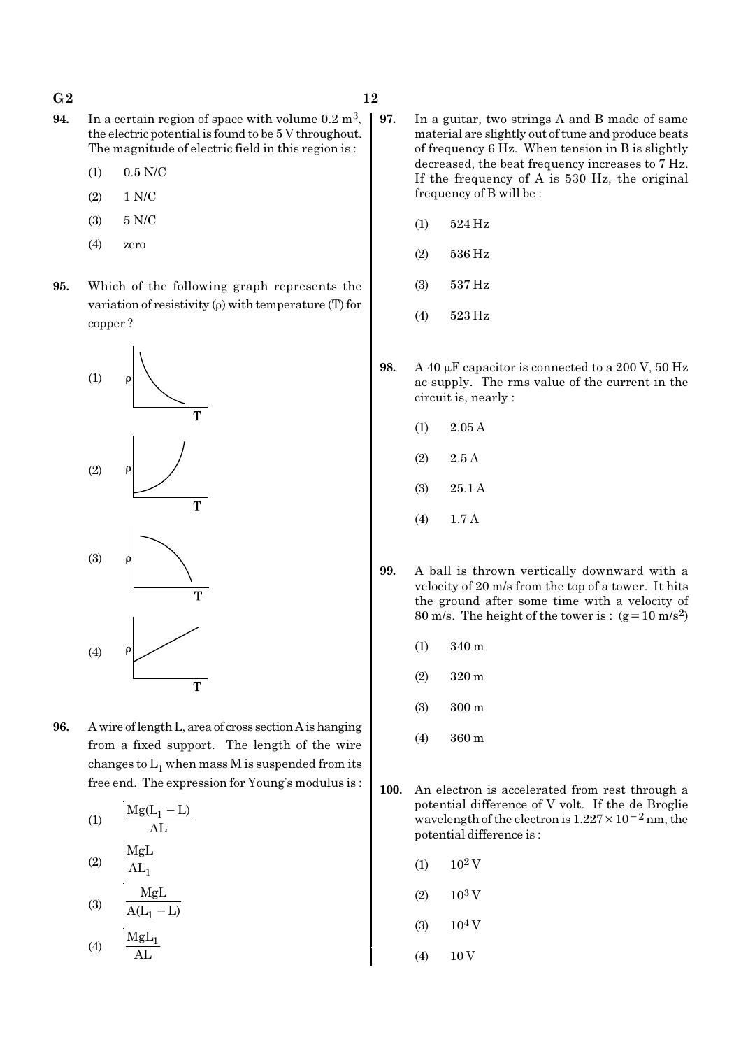#### $G2$  and  $12$

- **94.** In a certain region of space with volume  $0.2 \text{ m}^3$ , the electric potential is found to be 5 V throughout. The magnitude of electric field in this region is :
	- (1) 0.5 N/C
	- (2) 1 N/C
	- (3) 5 N/C
	- (4) zero
- 95. Which of the following graph represents the variation of resistivity (ρ) with temperature (T) for copper ?



96. A wire of length L, area of cross section A is hanging from a fixed support. The length of the wire changes to  $\mathrm{L}_1$  when mass M is suspended from its free end. The expression for Young's modulus is :

(1)  
\n
$$
\frac{Mg(L_1 - L)}{AL}
$$
\n(2)  
\n
$$
\frac{MgL}{AL_1}
$$
\n(3)  
\n
$$
\frac{MgL}{A(L_1 - L)}
$$

$$
(4) \qquad \frac{\text{MgL}_1}{\text{AL}}
$$

- 97. In a guitar, two strings A and B made of same material are slightly out of tune and produce beats of frequency 6 Hz. When tension in B is slightly decreased, the beat frequency increases to 7 Hz. If the frequency of A is 530 Hz, the original frequency of B will be :
	- (1) 524 Hz
	- (2) 536 Hz
	- (3) 537 Hz
	- (4) 523 Hz
- 98. A 40  $\mu$ F capacitor is connected to a 200 V, 50 Hz ac supply. The rms value of the current in the circuit is, nearly :
	- (1) 2.05 A
	- $(2)$  2.5 A
	- (3) 25.1 A
	- (4) 1.7 A
- 99. A ball is thrown vertically downward with a velocity of 20 m/s from the top of a tower. It hits the ground after some time with a velocity of 80 m/s. The height of the tower is :  $(g=10 \text{ m/s}^2)$ 
	- (1) 340 m
	- (2) 320 m
	- (3) 300 m
	- (4) 360 m
- 100. An electron is accelerated from rest through a potential difference of V volt. If the de Broglie wavelength of the electron is  $1.227 \times 10^{-2}$  nm, the potential difference is :
	- $(1)$  10<sup>2</sup> V
	- $(2)$  10<sup>3</sup> V
	- $(3)$  10<sup>4</sup> V
	- $(4)$  10 V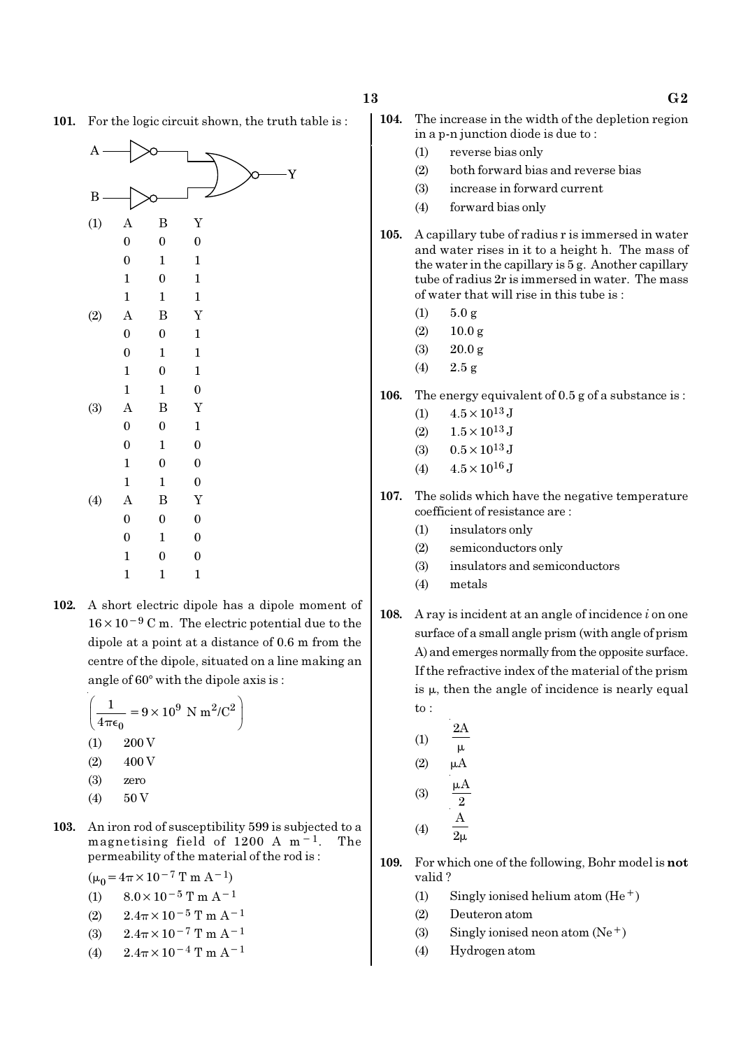101. For the logic circuit shown, the truth table is :



102. A short electric dipole has a dipole moment of  $16 \times 10^{-9}$  C m. The electric potential due to the dipole at a point at a distance of 0.6 m from the centre of the dipole, situated on a line making an angle of  $60^{\circ}$  with the dipole axis is :

$$
\left(\frac{1}{4\pi\epsilon_0} = 9 \times 10^9 \text{ N m}^2/\text{C}^2\right)
$$
  
(1) 200 V  
(2) 400 V  
(3) zero

- $(4)$  50 V
- 103. An iron rod of susceptibility 599 is subjected to a magnetising field of 1200 A m−1. The permeability of the material of the rod is :

 $(\mu_0 = 4\pi \times 10^{-7} \text{ T m A}^{-1})$ 

- (1)  $8.0 \times 10^{-5}$  T m A<sup>-1</sup>
- (2)  $2.4\pi \times 10^{-5}$  T m A<sup>-1</sup>
- (3)  $2.4\pi \times 10^{-7}$  T m A<sup>-1</sup>
- (4)  $2.4\pi \times 10^{-4}$  T m A<sup>-1</sup>
- 104. The increase in the width of the depletion region in a p-n junction diode is due to :
	- (1) reverse bias only
	- (2) both forward bias and reverse bias
	- (3) increase in forward current
	- (4) forward bias only
- 105. A capillary tube of radius r is immersed in water and water rises in it to a height h. The mass of the water in the capillary is 5 g. Another capillary tube of radius 2r is immersed in water. The mass of water that will rise in this tube is :
	- (1)  $5.0 \text{ g}$
	- $(2)$  10.0 g
	- (3) 20.0 g
	- (4)  $2.5 \text{ g}$
- 106. The energy equivalent of 0.5 g of a substance is :
	- (1)  $4.5 \times 10^{13}$  J
	- $(2)$  1.5  $\times$  10<sup>13</sup> J
	- (3)  $0.5 \times 10^{13}$  J
	- (4)  $4.5 \times 10^{16}$  J
- 107. The solids which have the negative temperature coefficient of resistance are :
	- (1) insulators only
	- (2) semiconductors only
	- (3) insulators and semiconductors
	- (4) metals
- 108. A ray is incident at an angle of incidence  $i$  on one surface of a small angle prism (with angle of prism A) and emerges normally from the opposite surface. If the refractive index of the material of the prism is  $\mu$ , then the angle of incidence is nearly equal to :
	- (1)  $2A$  $\mu$  $(2)$   $\mu$ A  $(3)$ 2  $\mu$ (4) A  $2\mu$
- 109. For which one of the following, Bohr model is not valid ?
	- (1) Singly ionised helium atom  $(He<sup>+</sup>)$
	- (2) Deuteron atom
	- (3) Singly ionised neon atom  $(Ne^+)$
	- (4) Hydrogen atom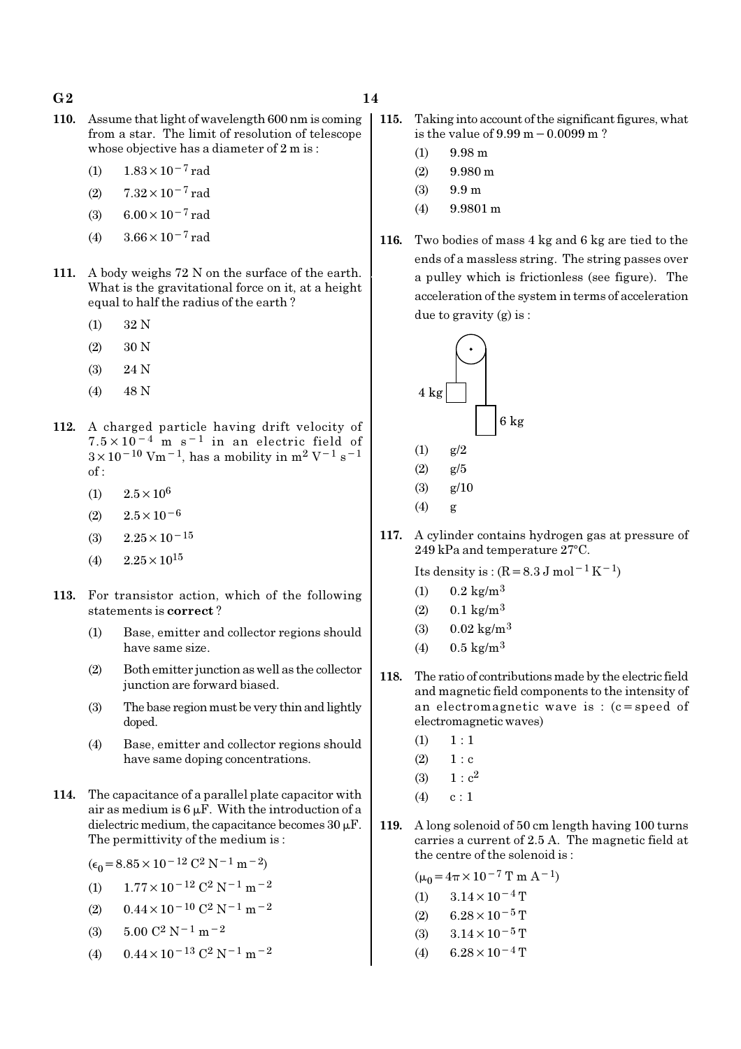- 110. Assume that light of wavelength 600 nm is coming from a star. The limit of resolution of telescope whose objective has a diameter of 2 m is :
	- (1)  $1.83 \times 10^{-7}$  rad
	- (2)  $7.32 \times 10^{-7}$  rad
	- (3) 6.00 $\times$ 10<sup>-7</sup> rad
	- (4)  $3.66 \times 10^{-7}$  rad
- 111. A body weighs 72 N on the surface of the earth. What is the gravitational force on it, at a height equal to half the radius of the earth ?
	- (1) 32 N
	- (2) 30 N
	- (3) 24 N
	- (4) 48 N
- 112. A charged particle having drift velocity of 7.5×10−4 m s−1 in an electric field of  $3\times10^{-10}$  Vm<sup>-1</sup>, has a mobility in m<sup>2</sup> V<sup>-1</sup> s<sup>-1</sup> of :
	- (1)  $2.5 \times 10^6$
	- $(2)$  2.5×10<sup>-6</sup>
	- (3) 2.25×10−<sup>15</sup>
	- $(4)$  2.25  $\times$  10<sup>15</sup>
- 113. For transistor action, which of the following statements is correct ?
	- (1) Base, emitter and collector regions should have same size.
	- (2) Both emitter junction as well as the collector junction are forward biased.
	- (3) The base region must be very thin and lightly doped.
	- (4) Base, emitter and collector regions should have same doping concentrations.
- 114. The capacitance of a parallel plate capacitor with air as medium is  $6 \mu$ F. With the introduction of a dielectric medium, the capacitance becomes  $30 \mu$ F. The permittivity of the medium is :

 $(\epsilon_0 = 8.85 \times 10^{-12} \text{ C}^2 \text{ N}^{-1} \text{ m}^{-2})$ 

- (1)  $1.77 \times 10^{-12}$  C<sup>2</sup> N<sup>-1</sup> m<sup>-2</sup>
- (2)  $0.44 \times 10^{-10}$  C<sup>2</sup> N<sup>-1</sup> m<sup>-2</sup>
- (3)  $5.00 \text{ C}^2 \text{ N}^{-1} \text{ m}^{-2}$
- (4)  $0.44 \times 10^{-13}$  C<sup>2</sup> N<sup>-1</sup> m<sup>-2</sup>
- 115. Taking into account of the significant figures, what is the value of 9.99 m−0.0099 m ?
	- $(1)$  9.98 m
	- $(2)$  9.980 m
	- (3) 9.9 m
	- (4) 9.9801 m
- 116. Two bodies of mass 4 kg and 6 kg are tied to the ends of a massless string. The string passes over a pulley which is frictionless (see figure). The acceleration of the system in terms of acceleration due to gravity (g) is :



117. A cylinder contains hydrogen gas at pressure of  $249$  kPa and temperature  $27^{\circ}$ C.

Its density is :  $(R=8.3 \text{ J mol}^{-1}\text{ K}^{-1})$ 

- (1)  $0.2 \text{ kg/m}^3$
- $(2)$  0.1 kg/m<sup>3</sup>
- (3)  $0.02 \text{ kg/m}^3$
- (4)  $0.5 \text{ kg/m}^3$
- 118. The ratio of contributions made by the electric field and magnetic field components to the intensity of an electromagnetic wave is : (c=speed of electromagnetic waves)
	- $(1) \quad 1 : 1$
	- $(2) \t1 : c$
	- (3)  $1 : c^2$
	- $(4)$  c : 1
- 119. A long solenoid of 50 cm length having 100 turns carries a current of 2.5 A. The magnetic field at the centre of the solenoid is :

 $(\mu_0 = 4\pi \times 10^{-7} \text{ T m A}^{-1})$ (1)  $3.14 \times 10^{-4}$  T  $(2)$  6.28 × 10<sup>-5</sup> T (3)  $3.14 \times 10^{-5}$  T (4) 6.28 $\times$ 10<sup>-4</sup> T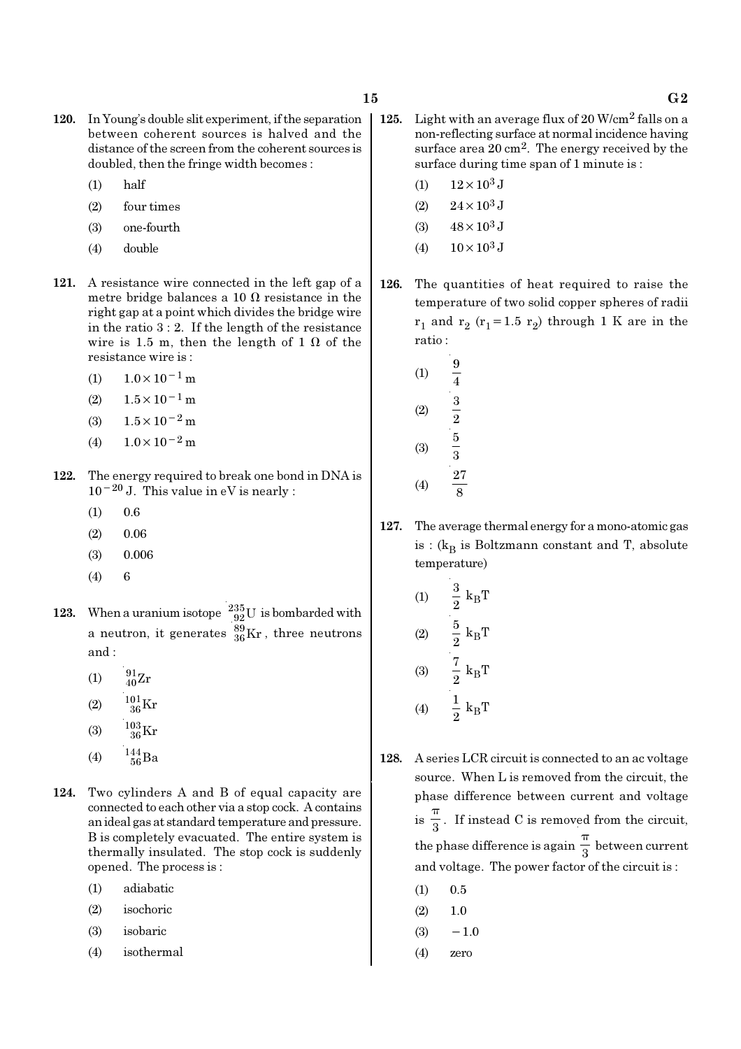- 120. In Young's double slit experiment, if the separation between coherent sources is halved and the distance of the screen from the coherent sources is doubled, then the fringe width becomes :
	- (1) half
	- (2) four times
	- (3) one-fourth
	- (4) double
- 121. A resistance wire connected in the left gap of a metre bridge balances a 10  $\Omega$  resistance in the right gap at a point which divides the bridge wire in the ratio 3 : 2. If the length of the resistance wire is 1.5 m, then the length of 1  $\Omega$  of the resistance wire is :
	- $(1)$  1.0×10<sup>-1</sup> m
	- $(2)$  1.5×10<sup>-1</sup> m
	- (3)  $1.5 \times 10^{-2}$  m
	- (4)  $1.0 \times 10^{-2}$  m
- 122. The energy required to break one bond in DNA is  $10^{-20}$  J. This value in eV is nearly :
	- $(1)$  0.6
	- $(2)$  0.06
	- (3) 0.006
	- (4) 6
- 123. When a uranium isotope  $\frac{235}{92}U$  is bombarded with a neutron, it generates  $^{89}_{36}\text{Kr}$  , three neutrons and :
	- (1)  $\frac{91}{40}Zr$
	- $(2)$  $^{01}_{36}\rm{Kr}$
	- (3)  $\frac{103}{36}$ Kr
	- (4)  $144 \over 56$  Ba
- 124. Two cylinders A and B of equal capacity are connected to each other via a stop cock. A contains an ideal gas at standard temperature and pressure. B is completely evacuated. The entire system is thermally insulated. The stop cock is suddenly opened. The process is :
	- (1) adiabatic
	- (2) isochoric
	- (3) isobaric
	- (4) isothermal
- 125. Light with an average flux of  $20$  W/cm<sup>2</sup> falls on a non-reflecting surface at normal incidence having surface area 20 cm<sup>2</sup>. The energy received by the surface during time span of 1 minute is :
	- (1)  $12 \times 10^3$  J
	- (2)  $24 \times 10^3$  J
	- $(3)$  48  $\times$  10<sup>3</sup> J
	- (4)  $10 \times 10^3$  J
- 126. The quantities of heat required to raise the temperature of two solid copper spheres of radii  $r_1$  and  $r_2$  ( $r_1$ =1.5  $r_2$ ) through 1 K are in the ratio :
	- $(1)$ 4 (2)  $\frac{3}{2}$ (3) 5 3 (4) 27 8
- 127. The average thermal energy for a mono-atomic gas is : ( $k_B$  is Boltzmann constant and T, absolute temperature)
	- (1)  $\frac{3}{8}$  k<sub>B</sub>  $\frac{3}{2}$  k<sub>B</sub>T  $(2)$   $\frac{3}{8}$  k<sub>B</sub>  $\frac{5}{2}$  k<sub>B</sub>T (3)  $\frac{\cdot}{2}$  k<sub>B</sub>  $\frac{7}{2}$  k<sub>B</sub>T (4)  $\frac{1}{2}$  k<sub>B</sub>  $\frac{1}{2} k_B T$
- 128. A series LCR circuit is connected to an ac voltage source. When L is removed from the circuit, the phase difference between current and voltage  $is \frac{1}{3}$ π . If instead C is removed from the circuit, the phase difference is again  $\frac{\pi}{3}$ π between current and voltage. The power factor of the circuit is :
	- $(1)$  0.5
	- $(2)$  1.0
	- $(3)$  −1.0
	- (4) zero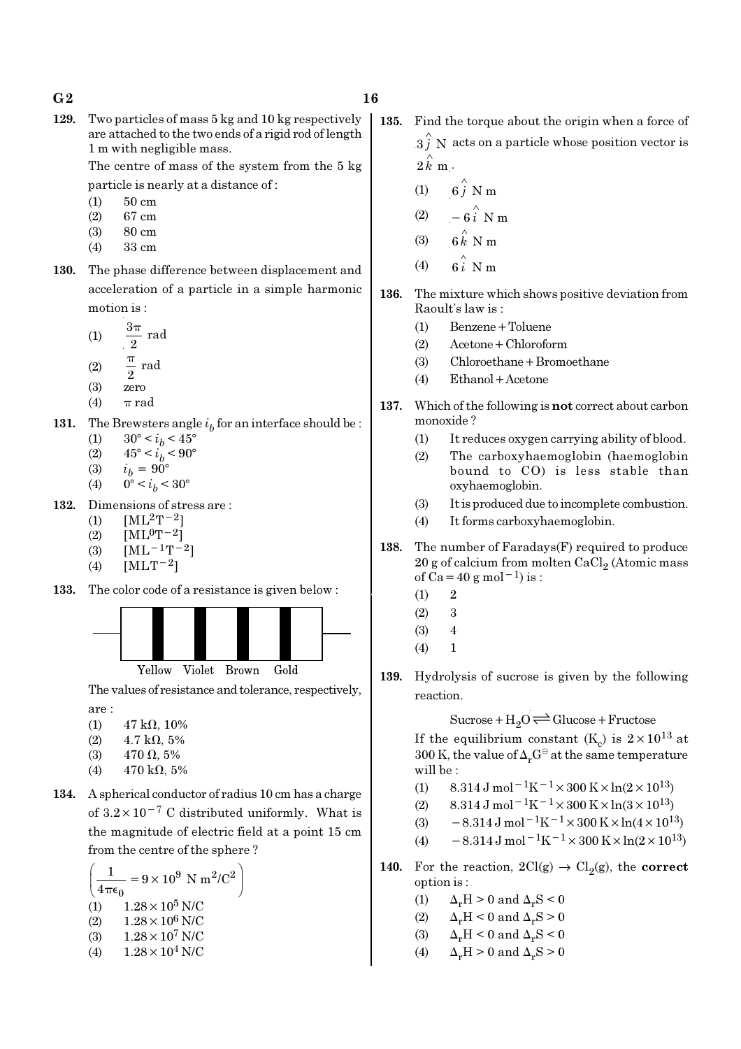129. Two particles of mass 5 kg and 10 kg respectively are attached to the two ends of a rigid rod of length 1 m with negligible mass.

> The centre of mass of the system from the 5 kg particle is nearly at a distance of :

- (1) 50 cm
- (2) 67 cm
- (3) 80 cm
- (4) 33 cm
- 130. The phase difference between displacement and acceleration of a particle in a simple harmonic motion is :
	- (1)  $\frac{3\pi}{2}$  rad π
	- (2)  $\frac{\pi}{2}$  rad π
	- (3) zero
	- (4)  $\pi$  rad
- 131. The Brewsters angle  $i_b$  for an interface should be :
	- (1)  $30^{\circ} < i_b < 45^{\circ}$
	- (2)  $45^{\circ} < i_b < 90^{\circ}$ (3)  $i_b = 90^\circ$
	- (4)  $0^{\circ} < i_b < 30^{\circ}$
- 132. Dimensions of stress are :
	- (1)  $[ML^2T^{-2}]$
	- (2)  $[ML^0T^{-2}]$
	- (3)  $[ML^{-1}T^{-2}]$
	- (4)  $[MLT^{-2}]$
- 133. The color code of a resistance is given below :



The values of resistance and tolerance, respectively, are :

- (1)  $47 \text{ k}\Omega$ , 10%
- (2)  $4.7 \text{ k}\Omega, 5\%$
- (3)  $470 \Omega, 5\%$
- (4)  $470 \text{ k}\Omega, 5\%$
- 134. A spherical conductor of radius 10 cm has a charge of  $3.2 \times 10^{-7}$  C distributed uniformly. What is the magnitude of electric field at a point 15 cm from the centre of the sphere ?

$$
\left(\frac{1}{4\pi\epsilon_0} = 9 \times 10^9 \text{ N m}^2/\text{C}^2\right)
$$
  
(1) 1.28 × 10<sup>5</sup> N/C  
(2) 1.28 × 10<sup>6</sup> N/C  
(3) 1.28 × 10<sup>7</sup> N/C  
(4) 1.28 × 10<sup>4</sup> N/C

- 135. Find the torque about the origin when a force of
	- $3 \hat{j}$  N acts on a particle whose position vector is  $2 \hat{k}$  m.
		- (1)  $6\hat{j}$  N m
		- (2)  $-6\hat{i}$  N m
	- (3)  $6 \stackrel{\wedge}{k}$  N m
	- (4)  $6i \stackrel{\wedge}{\smash{\wedge}} Nm$
- 136. The mixture which shows positive deviation from Raoult's law is :
	- (1) Benzene+Toluene
	- (2) Acetone+Chloroform
	- (3) Chloroethane+Bromoethane
	- (4) Ethanol+Acetone
- 137. Which of the following is not correct about carbon monoxide ?
	- (1) It reduces oxygen carrying ability of blood.
	- (2) The carboxyhaemoglobin (haemoglobin bound to CO) is less stable than oxyhaemoglobin.
	- (3) It is produced due to incomplete combustion.
	- (4) It forms carboxyhaemoglobin.
- 138. The number of Faradays(F) required to produce  $20$  g of calcium from molten CaCl $_2$  (Atomic mass of Ca=40 g mol<sup>-1</sup>) is :
	- $(1)$  2
	- $(2)$  3
	- $(3)$  4
	- $(4) 1$
- 139. Hydrolysis of sucrose is given by the following reaction.

 $Sucrose+H_2O \rightleftharpoons Glucose+Fructose$ 

If the equilibrium constant (K<sub>c</sub>) is  $2 \times 10^{13}$  at 300 K, the value of  $\Delta_r G^\ominus$  at the same temperature will be :

- (1)  $8.314 \text{ J mol}^{-1}\text{K}^{-1} \times 300 \text{ K} \times \ln(2 \times 10^{13})$
- (2) 8.314 J mol<sup>-1</sup>K<sup>-1</sup> × 300 K × ln(3 × 10<sup>13</sup>)
- (3)  $-8.314 \,\mathrm{J} \,\mathrm{mol}^{-1} \mathrm{K}^{-1} \times 300 \,\mathrm{K} \times \ln(4 \times 10^{13})$
- (4)  $-8.314 \text{ J mol}^{-1} \text{K}^{-1} \times 300 \text{ K} \times \ln(2 \times 10^{13})$
- 140. For the reaction,  $2Cl(g) \rightarrow Cl_2(g)$ , the correct option is :
	- (1)  $\Delta_r H > 0$  and  $\Delta_r S < 0$
	- (2)  $\Delta_r H < 0$  and  $\Delta_r S > 0$
	- (3)  $\Delta_r H \leq 0$  and  $\Delta_r S \leq 0$
	- (4)  $\Delta_r H > 0$  and  $\Delta_r S > 0$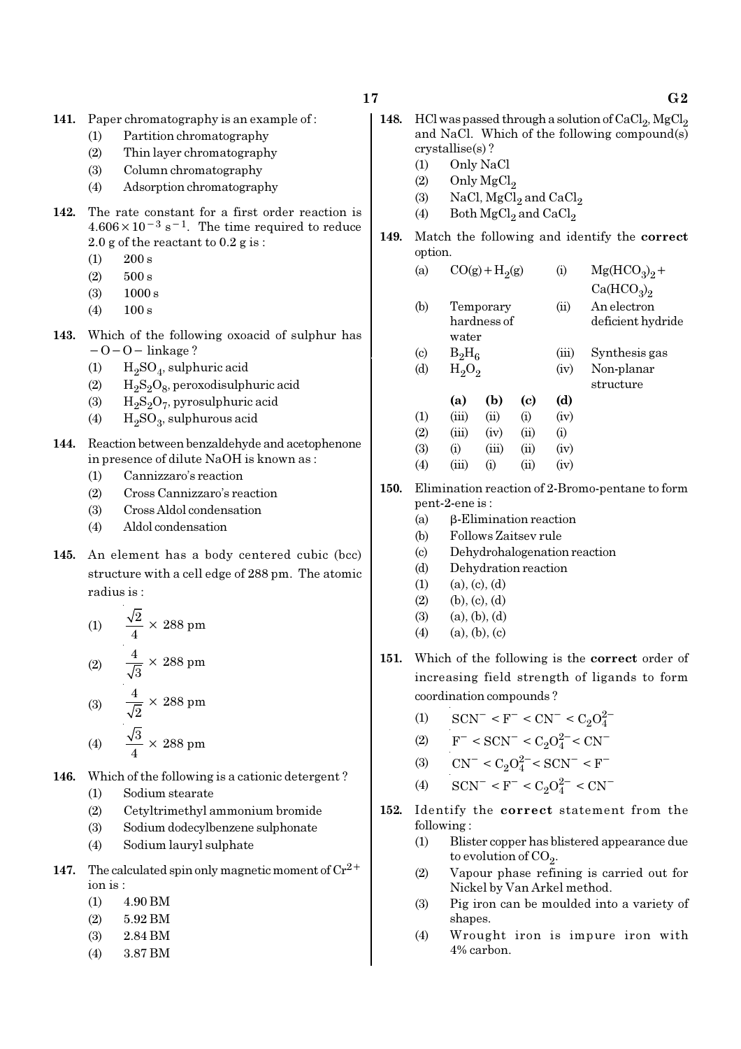- 141. Paper chromatography is an example of :
	- (1) Partition chromatography
	- (2) Thin layer chromatography
	- (3) Column chromatography
	- (4) Adsorption chromatography
- 142. The rate constant for a first order reaction is  $4.606 \times 10^{-3}$  s<sup>-1</sup>. The time required to reduce 2.0 g of the reactant to 0.2 g is :
	- $(1)$  200 s
	- $(2)$  500 s
	- (3) 1000 s
	- $(4)$  100 s
- 143. Which of the following oxoacid of sulphur has −O−O− linkage ?
	- (1)  $H_2SO_4$ , sulphuric acid
	- (2)  $H_2S_2O_8$ , peroxodisulphuric acid
	- (3)  $H_2S_2O_7$ , pyrosulphuric acid
	- (4)  $H_2SO_3$ , sulphurous acid
- 144. Reaction between benzaldehyde and acetophenone in presence of dilute NaOH is known as :
	- (1) Cannizzaro's reaction
	- (2) Cross Cannizzaro's reaction
	- (3) Cross Aldol condensation
	- (4) Aldol condensation
- 145. An element has a body centered cubic (bcc) structure with a cell edge of 288 pm. The atomic radius is :

(1) 
$$
\frac{\sqrt{2}}{4} \times 288 \text{ pm}
$$
  
\n(2) 
$$
\frac{4}{\sqrt{3}} \times 288 \text{ pm}
$$
  
\n(3) 
$$
\frac{4}{\sqrt{2}} \times 288 \text{ pm}
$$
  
\n(4) 
$$
\frac{\sqrt{3}}{4} \times 288 \text{ pm}
$$

- 146. Which of the following is a cationic detergent ?
	- (1) Sodium stearate
	- (2) Cetyltrimethyl ammonium bromide
	- (3) Sodium dodecylbenzene sulphonate
	- (4) Sodium lauryl sulphate
- 147. The calculated spin only magnetic moment of  $\mathrm{Cr^{2+}}$ ion is :
	- $(1)$  4.90 BM
	- (2) 5.92 BM
	- (3) 2.84 BM
	- (4) 3.87 BM
- 148. HCl was passed through a solution of  $CaCl<sub>2</sub>$ , MgCl<sub>2</sub> and NaCl. Which of the following compound(s) crystallise(s) ?
	- (1) Only NaCl
	- $(2)$  Only MgCl<sub>2</sub>
	- (3) NaCl,  $MgCl<sub>2</sub>$  and  $CaCl<sub>2</sub>$
	- (4) Both  $\mathrm{MgCl}_2$  and  $\mathrm{CaCl}_2$
- 149. Match the following and identify the correct option.
	- (a)  $CO(g) + H<sub>2</sub>(g)$ (g) (i)  $Mg(HCO_3)_2 +$  $Ca(HCO<sub>3</sub>)<sub>2</sub>$ (b) Temporary (ii) An electron hardness of deficient hydride water (c)  $B_2H_6$ (iii) Synthesis gas (d)  $H_2O_2$ (iv) Non-planar structure (a) (b) (c) (d)
	- $(1)$   $(iii)$   $(ii)$   $(i)$   $(iv)$  $(2)$   $(iii)$   $(iv)$   $(ii)$   $(i)$ (3) (i) (iii) (ii) (iv) (4) (iii) (i) (ii) (iv)
- 150. Elimination reaction of 2-Bromo-pentane to form pent-2-ene is :
	- (a) β-Elimination reaction
	- (b) Follows Zaitsev rule
	- (c) Dehydrohalogenation reaction
	- (d) Dehydration reaction
	- $(1)$   $(a)$ ,  $(c)$ ,  $(d)$
	- $(2)$  (b),  $(c)$ ,  $(d)$
	- $(3)$   $(a), (b), (d)$
	- $(4)$  (a), (b), (c)
- 151. Which of the following is the correct order of increasing field strength of ligands to form coordination compounds ?
	- (1)  $\text{SCN}^-$  < F<sup>-</sup> < CN<sup>-</sup> < C<sub>2</sub>O<sub>4</sub><sup>2</sup>
	- (2)  $F^- < \text{SCN}^- < C_2 O_4^{2-} < \text{CN}^-$
	- (3)  $CN^- < C_2O_4^{2-} < SCN^- < F^-$
	- (4)  $\text{SCN}^- \leq F^- \leq C_2 O_4^{2-} \leq \text{CN}^-$
- 152. Identify the correct statement from the following :
	- (1) Blister copper has blistered appearance due to evolution of CO<sub>2</sub>.
	- (2) Vapour phase refining is carried out for Nickel by Van Arkel method.
	- (3) Pig iron can be moulded into a variety of shapes.
	- (4) Wrought iron is impure iron with 4% carbon.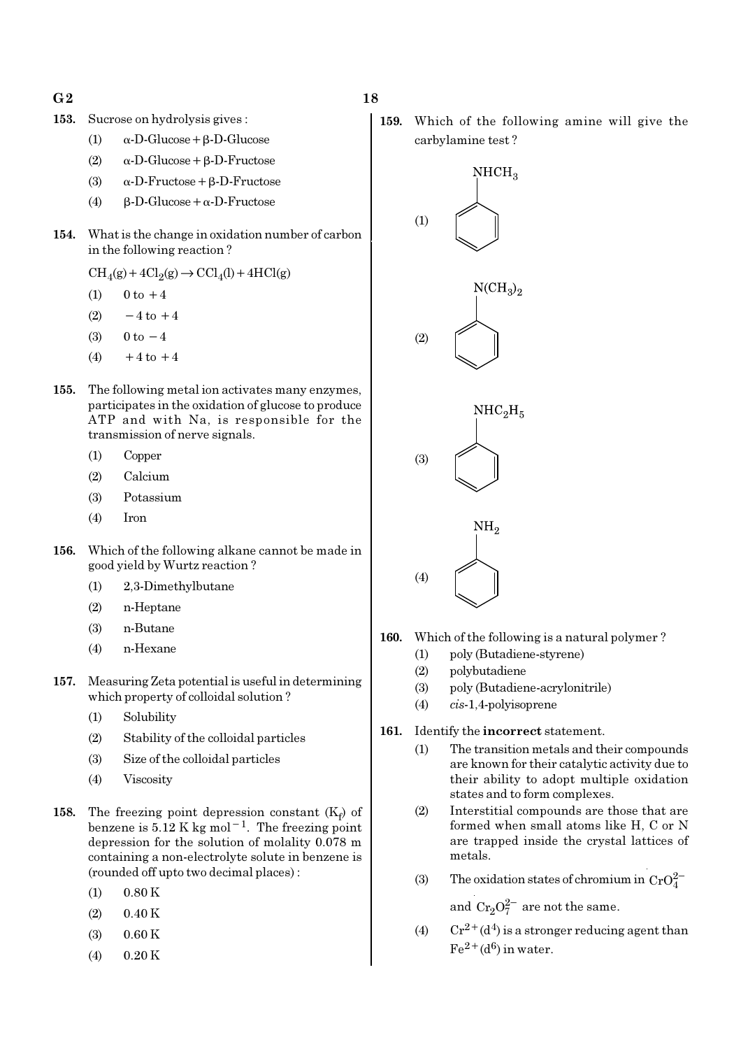- $G2$  and  $18$
- 153. Sucrose on hydrolysis gives :
	- (1)  $\alpha$ -D-Glucose + β-D-Glucose
	- (2) α-D-Glucose+β-D-Fructose
	- (3) α-D-Fructose+β-D-Fructose
	- (4)  $β-D-Glucose + α-D-Fructose$
- 154. What is the change in oxidation number of carbon in the following reaction ?

 $\text{CH}_4(g) + 4\text{Cl}_2(g) \rightarrow \text{CCl}_4(l) + 4\text{HCl}(g)$ 

- (1)  $0 \text{ to } +4$
- (2)  $-4$  to  $+4$
- (3)  $0 \text{ to } -4$
- $(4) +4$  to  $+4$
- 155. The following metal ion activates many enzymes, participates in the oxidation of glucose to produce ATP and with Na, is responsible for the transmission of nerve signals.
	- (1) Copper
	- (2) Calcium
	- (3) Potassium
	- (4) Iron
- 156. Which of the following alkane cannot be made in good yield by Wurtz reaction ?
	- (1) 2,3-Dimethylbutane
	- (2) n-Heptane
	- (3) n-Butane
	- (4) n-Hexane
- 157. Measuring Zeta potential is useful in determining which property of colloidal solution ?
	- (1) Solubility
	- (2) Stability of the colloidal particles
	- (3) Size of the colloidal particles
	- (4) Viscosity
- 158. The freezing point depression constant  $(K_f)$  of benzene is  $5.12$  K kg mol<sup>-1</sup>. The freezing point depression for the solution of molality 0.078 m containing a non-electrolyte solute in benzene is (rounded off upto two decimal places) :
	- $(1)$  0.80 K
	- $(2)$  0.40 K
	- $(3)$  0.60 K
	- $(4)$  0.20 K

159. Which of the following amine will give the carbylamine test ?



- 160. Which of the following is a natural polymer ?
	- (1) poly (Butadiene-styrene)
	- (2) polybutadiene
	- (3) poly (Butadiene-acrylonitrile)
	- (4) cis-1,4-polyisoprene
- 161. Identify the incorrect statement.
	- (1) The transition metals and their compounds are known for their catalytic activity due to their ability to adopt multiple oxidation states and to form complexes.
	- (2) Interstitial compounds are those that are formed when small atoms like H, C or N are trapped inside the crystal lattices of metals.
	- (3) The oxidation states of chromium in  $CrO_4^{2-}$

and  $\mathrm{Cr_{2}O_{7}^{2-}}$  are not the same.

(4)  $Cr^{2+}(d^4)$  is a stronger reducing agent than  $Fe^{2+}(d^6)$  in water.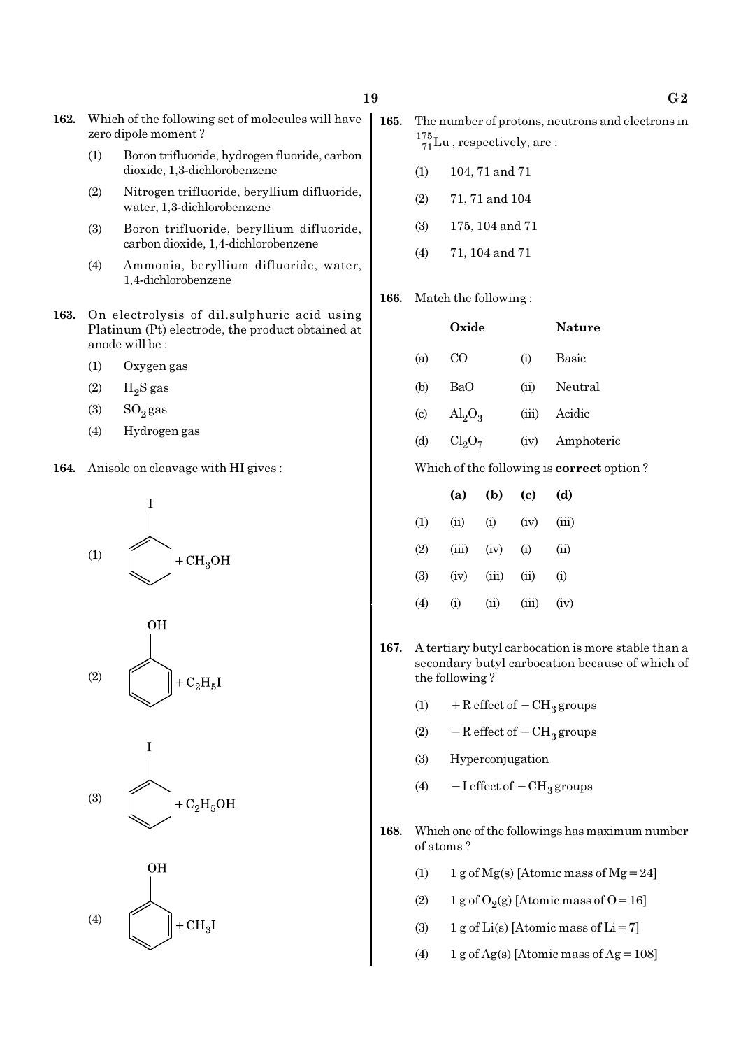- 162. Which of the following set of molecules will have zero dipole moment ?
	- (1) Boron trifluoride, hydrogen fluoride, carbon dioxide, 1,3-dichlorobenzene
	- (2) Nitrogen trifluoride, beryllium difluoride, water, 1,3-dichlorobenzene
	- (3) Boron trifluoride, beryllium difluoride, carbon dioxide, 1,4-dichlorobenzene
	- (4) Ammonia, beryllium difluoride, water, 1,4-dichlorobenzene
- 163. On electrolysis of dil.sulphuric acid using Platinum (Pt) electrode, the product obtained at anode will be :
	- (1) Oxygen gas
	- $(2)$  H<sub>2</sub>S gas
	- $(3)$  SO<sub>2</sub> gas
	- (4) Hydrogen gas
- 164. Anisole on cleavage with HI gives :









- 165. The number of protons, neutrons and electrons in  $^{175}_{71}$ Lu, respectively, are:
	- (1) 104, 71 and 71
	- (2) 71, 71 and 104
	- (3) 175, 104 and 71
	- (4) 71, 104 and 71
- 166. Match the following :

|                             | Oxide                   |       | <b>Nature</b> |
|-----------------------------|-------------------------|-------|---------------|
| (a)                         | CO                      | (i)   | Basic         |
| (b)                         | BaO                     | (ii)  | Neutral       |
| $\left( \mathrm{c} \right)$ | $\text{Al}_2\text{O}_3$ | (iii) | Acidic        |
| (d)                         | $Cl_2O_7$               | (iv)  | Amphoteric    |

Which of the following is correct option ?

|     | (a)      | (b)   | (c)   | (d)   |
|-----|----------|-------|-------|-------|
| (1) | (ii)     | (i)   | (iv)  | (iii) |
| (2) | (iii)    | (iv)  | (i)   | (ii)  |
| (3) | (iv)     | (iii) | (ii)  | (i)   |
| (4) | $\rm(i)$ | (ii)  | (iii) | (iv)  |

- 167. A tertiary butyl carbocation is more stable than a secondary butyl carbocation because of which of the following ?
	- (1) + R effect of  $-CH<sub>3</sub>$  groups
	- (2)  $-$  R effect of  $-$  CH<sub>3</sub> groups
	- (3) Hyperconjugation
	- (4)  $-I$  effect of  $-CH_3$  groups
- 168. Which one of the followings has maximum number of atoms ?
	- (1) 1 g of  $Mg(s)$  [Atomic mass of  $Mg = 24$ ]
	- (2) 1 g of  $O_2(g)$  [Atomic mass of O = 16]
	- (3) 1 g of Li(s) [Atomic mass of Li = 7]
	- (4)  $1 g \text{ of } Ag(s)$  [Atomic mass of Ag = 108]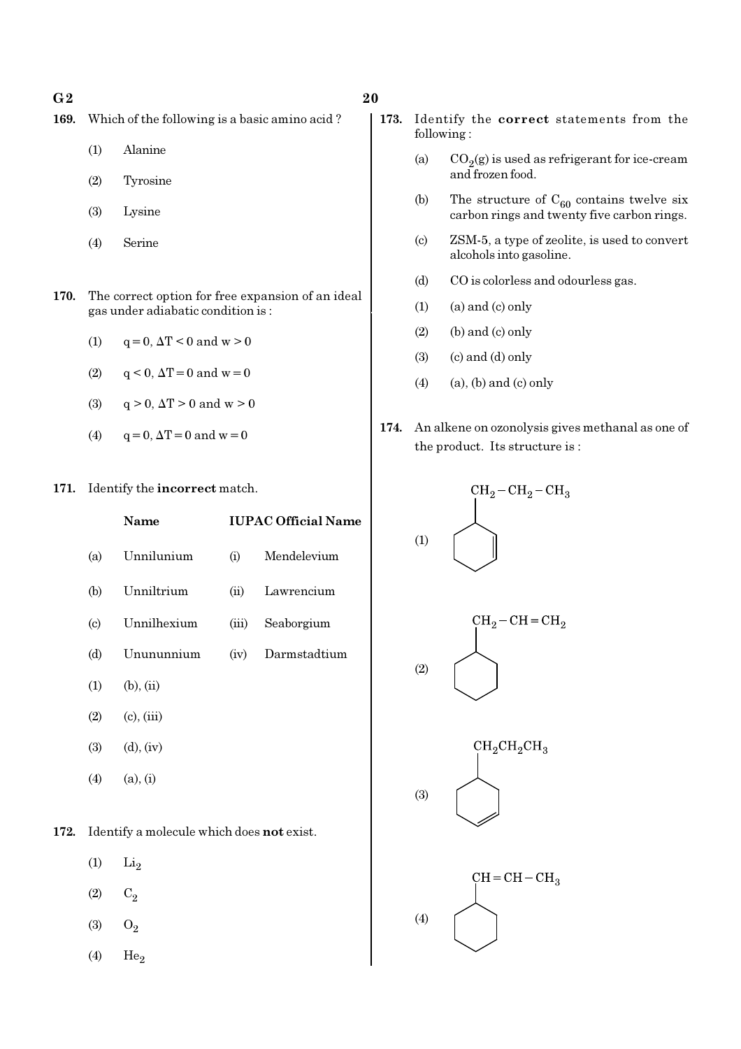#### $G2$  and  $20$

- 169. Which of the following is a basic amino acid ?
	- (1) Alanine
	- (2) Tyrosine
	- (3) Lysine
	- (4) Serine
- 170. The correct option for free expansion of an ideal gas under adiabatic condition is :
	- (1)  $q = 0, \Delta T < 0$  and  $w > 0$
	- (2)  $q < 0$ ,  $\Delta T = 0$  and  $w = 0$
	- (3)  $q > 0$ ,  $\Delta T > 0$  and  $w > 0$
	- (4)  $q = 0, \Delta T = 0 \text{ and } w = 0$
- 171. Identify the incorrect match.

|                        | Name            |       | <b>IUPAC Official Name</b> |
|------------------------|-----------------|-------|----------------------------|
| (a)                    | Unnilunium      | (i)   | Mendelevium                |
| (b)                    | Unniltrium      | (ii)  | Lawrencium                 |
| $\left( \circ \right)$ | Unnilhexium     | (iii) | Seaborgium                 |
| (d)                    | Unununnium      | (iv)  | Darmstadtium               |
| (1)                    | $(b)$ , $(ii)$  |       |                            |
| (2)                    | $(c)$ , $(iii)$ |       |                            |
| (3)                    | $(d)$ , $(iv)$  |       |                            |
| (4)                    | (a), (i)        |       |                            |

172. Identify a molecule which does not exist.

- $(1)$   $Li<sub>2</sub>$
- $(2)$   $C_2$
- (3)  $O_2$
- $(4)$  He<sub>2</sub>
- 173. Identify the correct statements from the following :
	- (a)  $CO_2(g)$  is used as refrigerant for ice-cream and frozen food.
	- (b) The structure of  $C_{60}$  contains twelve six carbon rings and twenty five carbon rings.
	- (c) ZSM-5, a type of zeolite, is used to convert alcohols into gasoline.
	- (d) CO is colorless and odourless gas.
	- $(1)$  (a) and  $(c)$  only
	- $(2)$  (b) and  $(c)$  only
	- $(3)$   $(c)$  and  $(d)$  only
	- $(4)$  (a), (b) and (c) only
- 174. An alkene on ozonolysis gives methanal as one of the product. Its structure is :

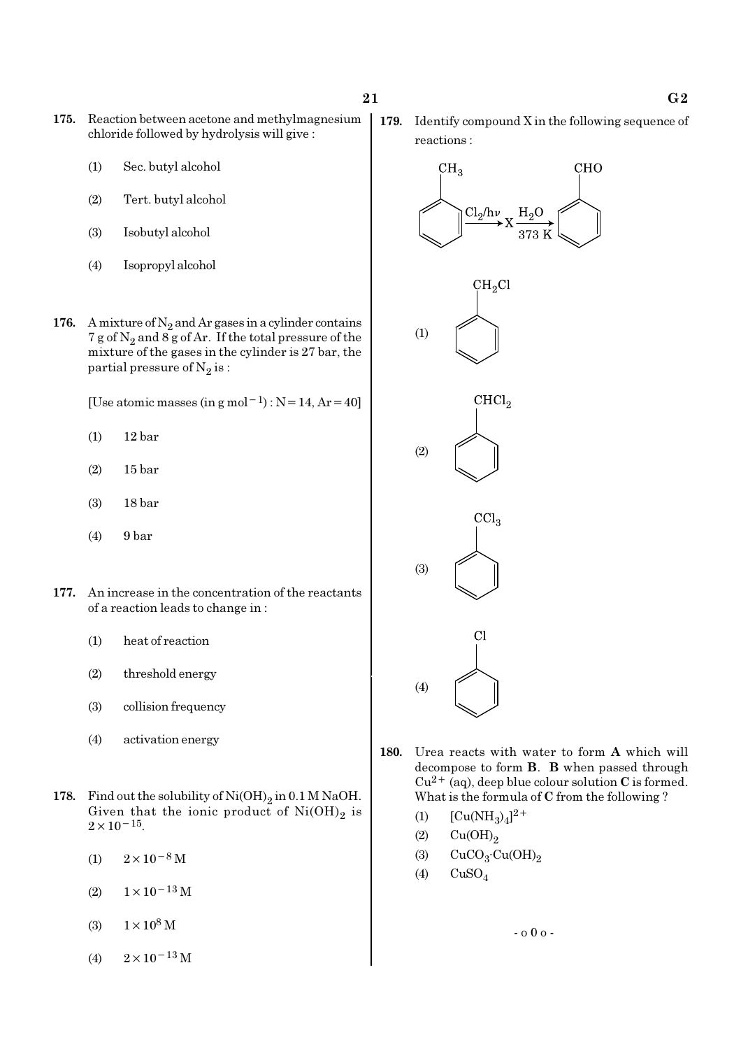- 175. Reaction between acetone and methylmagnesium chloride followed by hydrolysis will give :
	- (1) Sec. butyl alcohol
	- (2) Tert. butyl alcohol
	- (3) Isobutyl alcohol
	- (4) Isopropyl alcohol
- 176. A mixture of  $N_2$  and Ar gases in a cylinder contains 7 g of  $\mathrm{N}_2$  and 8 g of Ar. If the total pressure of the mixture of the gases in the cylinder is 27 bar, the partial pressure of  $\mathrm{N}_2 \, \mathrm{is}$  :

[Use atomic masses (in g mol<sup>-1</sup>) : N = 14, Ar = 40]

- (1) 12 bar
- (2) 15 bar
- (3) 18 bar
- (4) 9 bar
- 177. An increase in the concentration of the reactants of a reaction leads to change in :
	- (1) heat of reaction
	- (2) threshold energy
	- (3) collision frequency
	- (4) activation energy
- 178. Find out the solubility of  $\mathrm{Ni(OH)}_{2}$  in 0.1 M NaOH. Given that the ionic product of  $\mathrm{Ni(OH)}_{2}$  is  $2 \times 10^{-15}$ .
	- (1)  $2 \times 10^{-8}$  M
	- $(2)$  1×10<sup>-13</sup> M
	- (3)  $1 \times 10^8$  M
	- (4)  $2 \times 10^{-13}$  M

179. Identify compound X in the following sequence of reactions :



- 180. Urea reacts with water to form A which will decompose to form B. B when passed through  $Cu^{2+}$  (aq), deep blue colour solution C is formed. What is the formula of C from the following ?
	- (1)  $[Cu(NH_3)_4]^{2+}$
	- $(2)$   $Cu(OH)<sub>2</sub>$
	- (3)  $CuCO<sub>3</sub>·Cu(OH)<sub>2</sub>$
	- $(4)$  CuSO<sub>4</sub>

- o 0 o -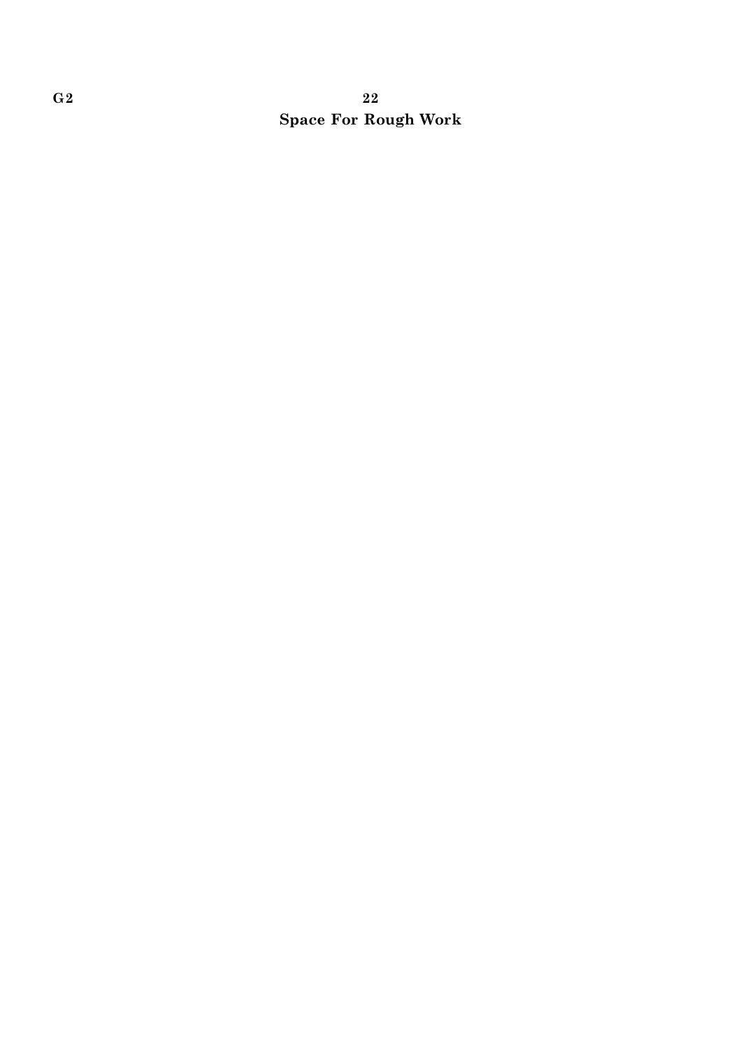# $G2 \hspace{2.5cm} 22$ Space For Rough Work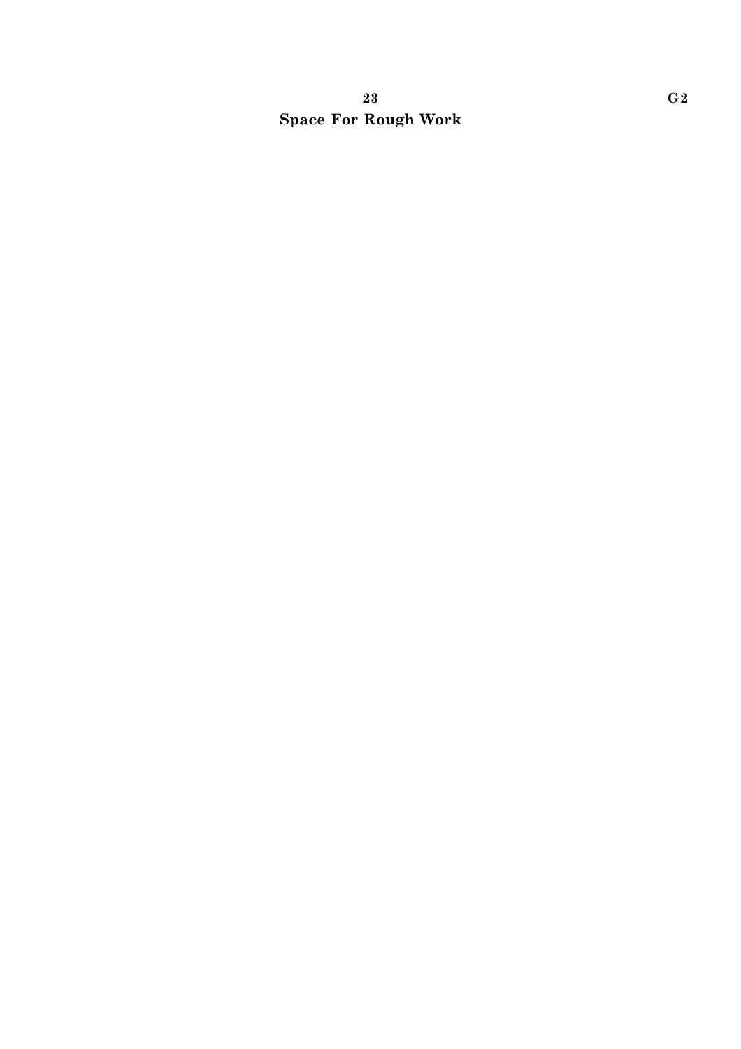# 23 G2 Space For Rough Work